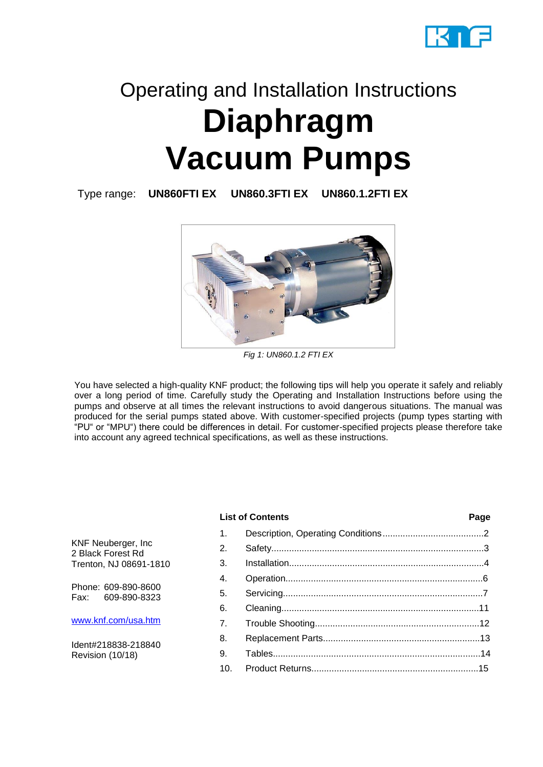

# Operating and Installation Instructions **Diaphragm Vacuum Pumps**

Type range: **UN860FTI EX UN860.3FTI EX UN860.1.2FTI EX**



*Fig 1: UN860.1.2 FTI EX*

You have selected a high-quality KNF product; the following tips will help you operate it safely and reliably over a long period of time. Carefully study the Operating and Installation Instructions before using the pumps and observe at all times the relevant instructions to avoid dangerous situations. The manual was produced for the serial pumps stated above. With customer-specified projects (pump types starting with "PU" or "MPU") there could be differences in detail. For customer-specified projects please therefore take into account any agreed technical specifications, as well as these instructions.

# **List of Contents Page**

1. Description, Operating Conditions........................................2 2. Safety....................................................................................3 3. Installation.............................................................................4 4. Operation..............................................................................6 5. Servicing...............................................................................7 6. Cleaning..............................................................................11 7. Trouble Shooting.................................................................12 8. Replacement Parts..............................................................13 9. Tables..................................................................................14 10. Product Returns..................................................................15

KNF Neuberger, Inc 2 Black Forest Rd Trenton, NJ 08691-1810

Phone: 609-890-8600<br>Eax: 609-890-8323 Fax: 609-890-8323

[www.knf.com/usa.htm](http://www.knf.com/usa.htm)

Ident#218838-218840 Revision (10/18)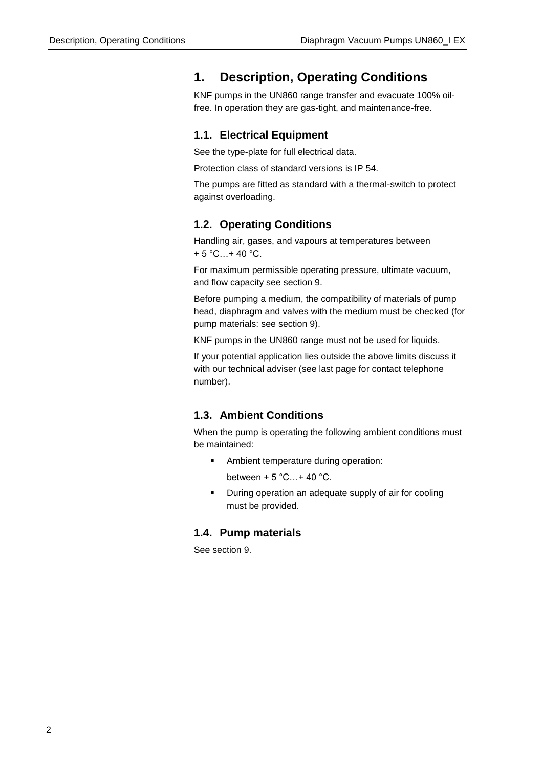# **1. Description, Operating Conditions**

KNF pumps in the UN860 range transfer and evacuate 100% oilfree. In operation they are gas-tight, and maintenance-free.

# **1.1. Electrical Equipment**

See the type-plate for full electrical data.

Protection class of standard versions is IP 54.

The pumps are fitted as standard with a thermal-switch to protect against overloading.

# **1.2. Operating Conditions**

Handling air, gases, and vapours at temperatures between  $+ 5 °C...+ 40 °C.$ 

For maximum permissible operating pressure, ultimate vacuum, and flow capacity see section 9.

Before pumping a medium, the compatibility of materials of pump head, diaphragm and valves with the medium must be checked (for pump materials: see section 9).

KNF pumps in the UN860 range must not be used for liquids.

If your potential application lies outside the above limits discuss it with our technical adviser (see last page for contact telephone number).

# **1.3. Ambient Conditions**

When the pump is operating the following ambient conditions must be maintained:

Ambient temperature during operation:

between  $+5$  °C... + 40 °C.

▪ During operation an adequate supply of air for cooling must be provided.

# **1.4. Pump materials**

See section 9.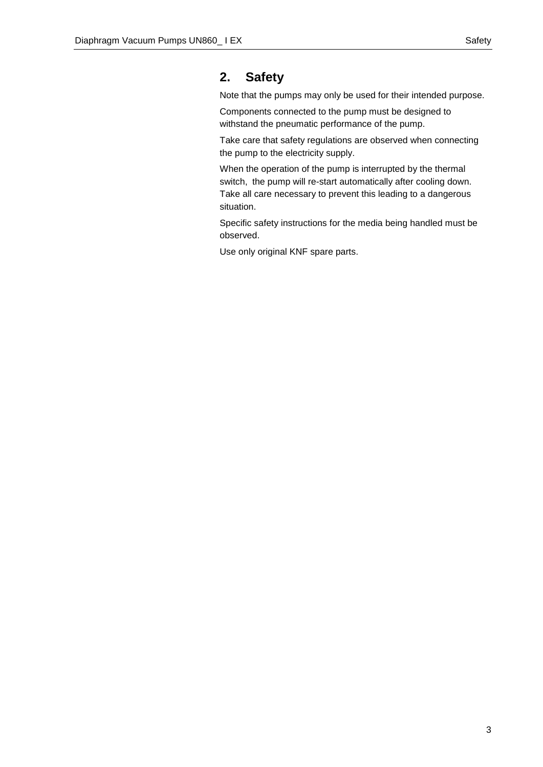# **2. Safety**

Note that the pumps may only be used for their intended purpose.

Components connected to the pump must be designed to withstand the pneumatic performance of the pump.

Take care that safety regulations are observed when connecting the pump to the electricity supply.

When the operation of the pump is interrupted by the thermal switch, the pump will re-start automatically after cooling down. Take all care necessary to prevent this leading to a dangerous situation.

Specific safety instructions for the media being handled must be observed.

Use only original KNF spare parts.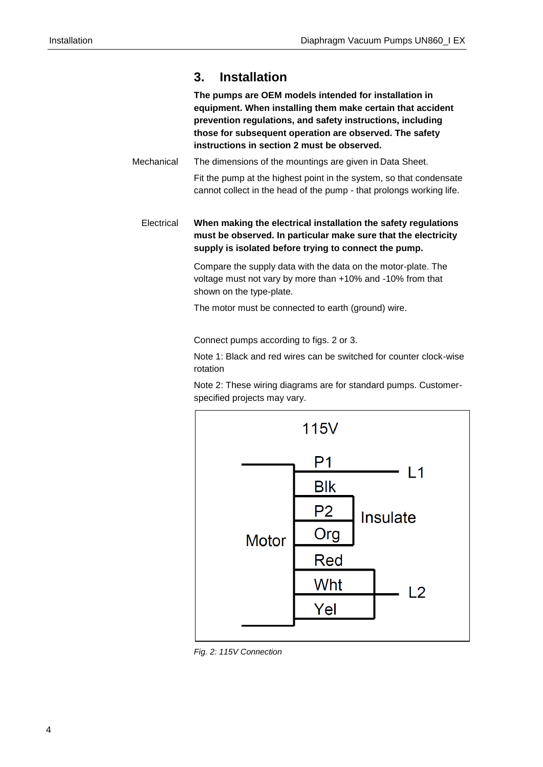# **3. Installation**

**The pumps are OEM models intended for installation in equipment. When installing them make certain that accident prevention regulations, and safety instructions, including those for subsequent operation are observed. The safety instructions in section 2 must be observed.**

The dimensions of the mountings are given in Data Sheet. Fit the pump at the highest point in the system, so that condensate cannot collect in the head of the pump - that prolongs working life. **Mechanical** 

**When making the electrical installation the safety regulations must be observed. In particular make sure that the electricity supply is isolated before trying to connect the pump. Electrical** 

> Compare the supply data with the data on the motor-plate. The voltage must not vary by more than +10% and -10% from that shown on the type-plate.

The motor must be connected to earth (ground) wire.

Connect pumps according to figs. 2 or 3.

Note 1: Black and red wires can be switched for counter clock-wise rotation

Note 2: These wiring diagrams are for standard pumps. Customerspecified projects may vary.



*Fig. 2: 115V Connection*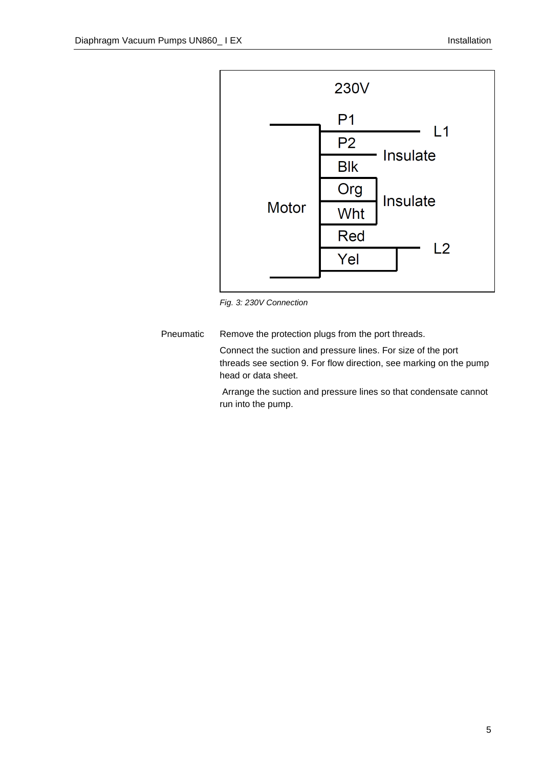

*Fig. 3: 230V Connection*

Remove the protection plugs from the port threads. Pneumatic

> Connect the suction and pressure lines. For size of the port threads see section 9. For flow direction, see marking on the pump head or data sheet.

> Arrange the suction and pressure lines so that condensate cannot run into the pump.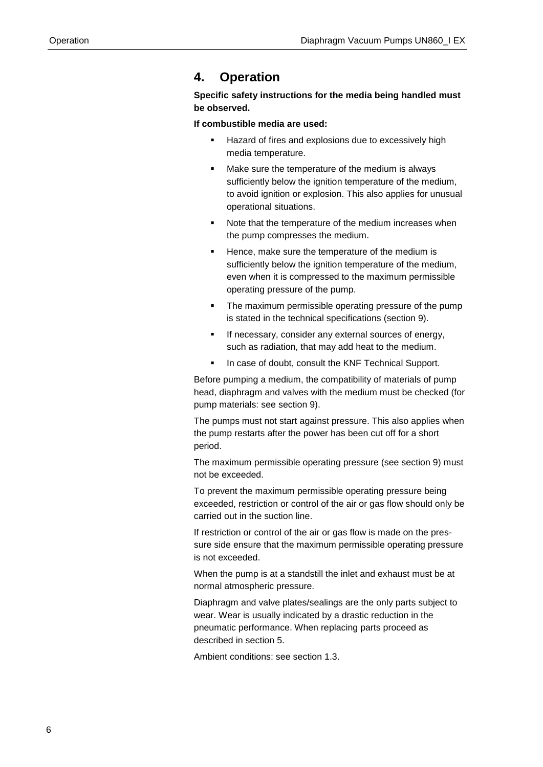# **4. Operation**

**Specific safety instructions for the media being handled must be observed.**

**If combustible media are used:**

- Hazard of fires and explosions due to excessively high media temperature.
- Make sure the temperature of the medium is always sufficiently below the ignition temperature of the medium, to avoid ignition or explosion. This also applies for unusual operational situations.
- Note that the temperature of the medium increases when the pump compresses the medium.
- Hence, make sure the temperature of the medium is sufficiently below the ignition temperature of the medium, even when it is compressed to the maximum permissible operating pressure of the pump.
- The maximum permissible operating pressure of the pump is stated in the technical specifications (section 9).
- **EXECT:** If necessary, consider any external sources of energy, such as radiation, that may add heat to the medium.
- In case of doubt, consult the KNF Technical Support.

Before pumping a medium, the compatibility of materials of pump head, diaphragm and valves with the medium must be checked (for pump materials: see section 9).

The pumps must not start against pressure. This also applies when the pump restarts after the power has been cut off for a short period.

The maximum permissible operating pressure (see section 9) must not be exceeded.

To prevent the maximum permissible operating pressure being exceeded, restriction or control of the air or gas flow should only be carried out in the suction line.

If restriction or control of the air or gas flow is made on the pressure side ensure that the maximum permissible operating pressure is not exceeded.

When the pump is at a standstill the inlet and exhaust must be at normal atmospheric pressure.

Diaphragm and valve plates/sealings are the only parts subject to wear. Wear is usually indicated by a drastic reduction in the pneumatic performance. When replacing parts proceed as described in section 5.

Ambient conditions: see section 1.3.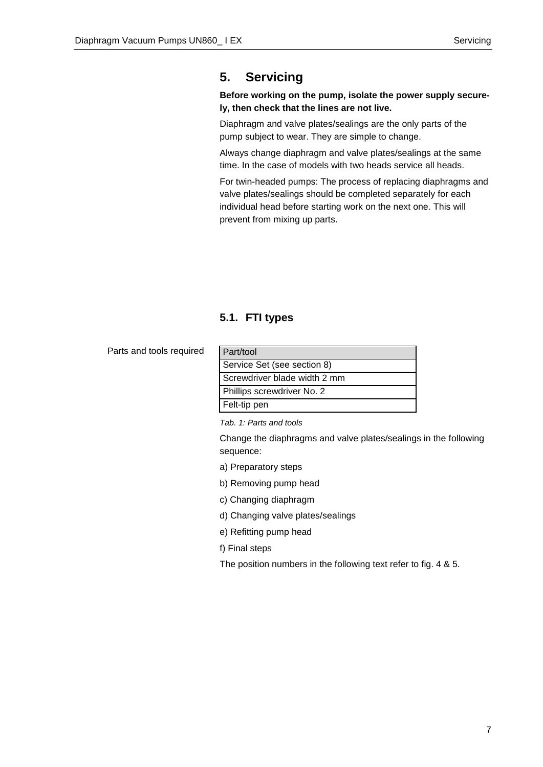# **5. Servicing**

# **Before working on the pump, isolate the power supply securely, then check that the lines are not live.**

Diaphragm and valve plates/sealings are the only parts of the pump subject to wear. They are simple to change.

Always change diaphragm and valve plates/sealings at the same time. In the case of models with two heads service all heads.

For twin-headed pumps: The process of replacing diaphragms and valve plates/sealings should be completed separately for each individual head before starting work on the next one. This will prevent from mixing up parts.

# **5.1. FTI types**

Parts and tools required

| Part/tool                    |
|------------------------------|
| Service Set (see section 8)  |
| Screwdriver blade width 2 mm |
| Phillips screwdriver No. 2   |
| Felt-tip pen                 |

*Tab. 1: Parts and tools*

Change the diaphragms and valve plates/sealings in the following sequence:

- a) Preparatory steps
- b) Removing pump head
- c) Changing diaphragm
- d) Changing valve plates/sealings
- e) Refitting pump head
- f) Final steps
- The position numbers in the following text refer to fig. 4 & 5.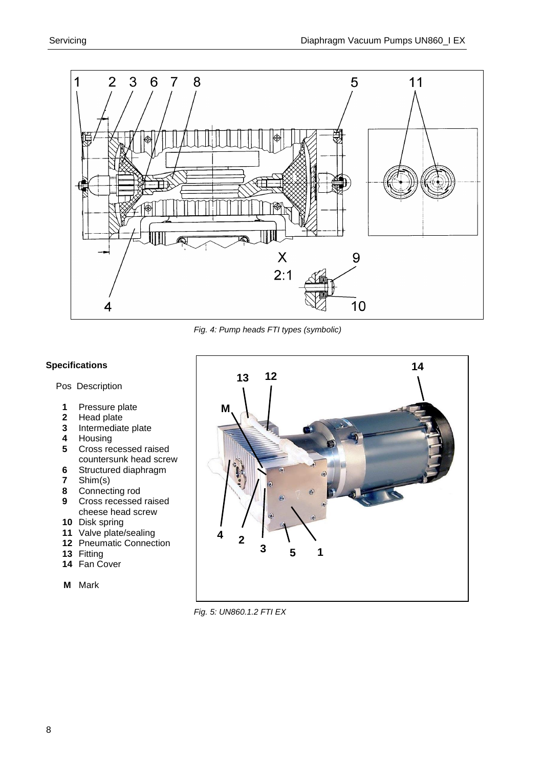

*Fig. 4: Pump heads FTI types (symbolic)*

# **Specifications**

# Pos Description

- 1 Pressure plate<br>2 Head plate
- Head plate
- Intermediate plate
- Housing
- Cross recessed raised countersunk head screw
- Structured diaphragm
- Shim(s)
- Connecting rod
- Cross recessed raised cheese head screw
- Disk spring
- Valve plate/sealing
- Pneumatic Connection
- Fitting
- Fan Cover
- **M** Mark



*Fig. 5: UN860.1.2 FTI EX*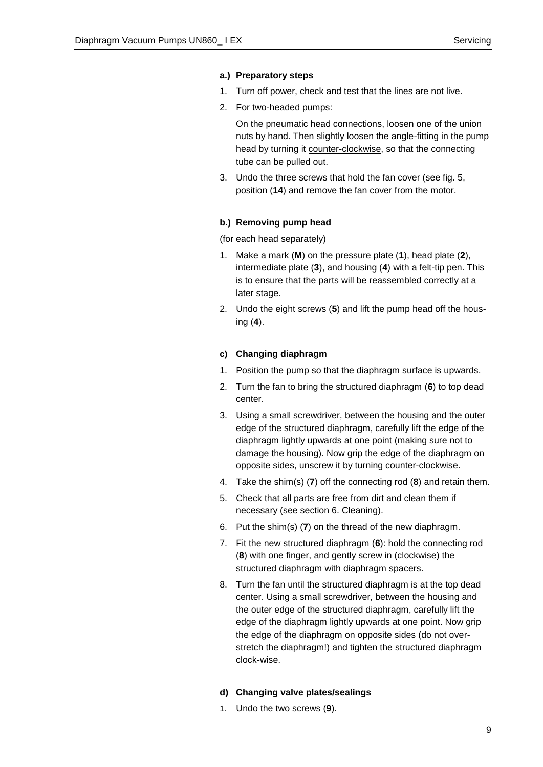# **a.) Preparatory steps**

- 1. Turn off power, check and test that the lines are not live.
- 2. For two-headed pumps:

On the pneumatic head connections, loosen one of the union nuts by hand. Then slightly loosen the angle-fitting in the pump head by turning it counter-clockwise, so that the connecting tube can be pulled out.

3. Undo the three screws that hold the fan cover (see fig. 5, position (**14**) and remove the fan cover from the motor.

## **b.) Removing pump head**

(for each head separately)

- 1. Make a mark (**M**) on the pressure plate (**1**), head plate (**2**), intermediate plate (**3**), and housing (**4**) with a felt-tip pen. This is to ensure that the parts will be reassembled correctly at a later stage.
- 2. Undo the eight screws (**5**) and lift the pump head off the housing (**4**).

# **c) Changing diaphragm**

- 1. Position the pump so that the diaphragm surface is upwards.
- 2. Turn the fan to bring the structured diaphragm (**6**) to top dead center.
- 3. Using a small screwdriver, between the housing and the outer edge of the structured diaphragm, carefully lift the edge of the diaphragm lightly upwards at one point (making sure not to damage the housing). Now grip the edge of the diaphragm on opposite sides, unscrew it by turning counter-clockwise.
- 4. Take the shim(s) (**7**) off the connecting rod (**8**) and retain them.
- 5. Check that all parts are free from dirt and clean them if necessary (see section 6. Cleaning).
- 6. Put the shim(s) (**7**) on the thread of the new diaphragm.
- 7. Fit the new structured diaphragm (**6**): hold the connecting rod (**8**) with one finger, and gently screw in (clockwise) the structured diaphragm with diaphragm spacers.
- 8. Turn the fan until the structured diaphragm is at the top dead center. Using a small screwdriver, between the housing and the outer edge of the structured diaphragm, carefully lift the edge of the diaphragm lightly upwards at one point. Now grip the edge of the diaphragm on opposite sides (do not overstretch the diaphragm!) and tighten the structured diaphragm clock-wise.

# **d) Changing valve plates/sealings**

1. Undo the two screws (**9**).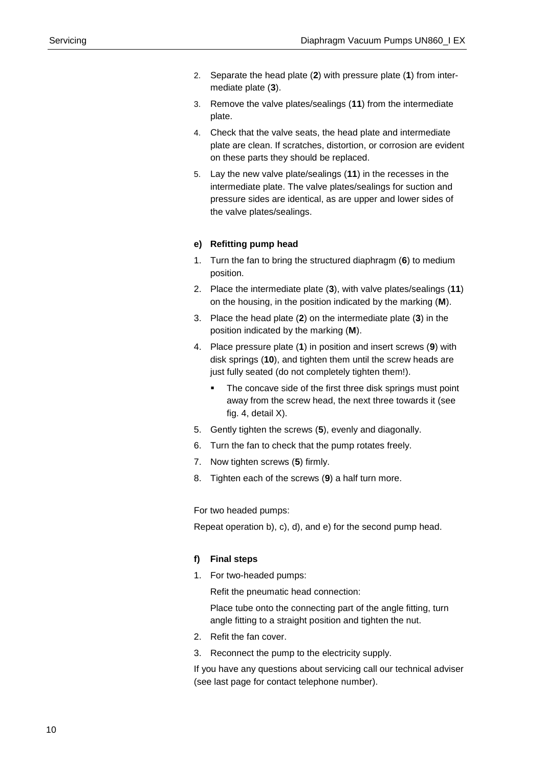- 2. Separate the head plate (**2**) with pressure plate (**1**) from intermediate plate (**3**).
- 3. Remove the valve plates/sealings (**11**) from the intermediate plate.
- 4. Check that the valve seats, the head plate and intermediate plate are clean. If scratches, distortion, or corrosion are evident on these parts they should be replaced.
- 5. Lay the new valve plate/sealings (**11**) in the recesses in the intermediate plate. The valve plates/sealings for suction and pressure sides are identical, as are upper and lower sides of the valve plates/sealings.

# **e) Refitting pump head**

- 1. Turn the fan to bring the structured diaphragm (**6**) to medium position.
- 2. Place the intermediate plate (**3**), with valve plates/sealings (**11**) on the housing, in the position indicated by the marking (**M**).
- 3. Place the head plate (**2**) on the intermediate plate (**3**) in the position indicated by the marking (**M**).
- 4. Place pressure plate (**1**) in position and insert screws (**9**) with disk springs (**10**), and tighten them until the screw heads are just fully seated (do not completely tighten them!).
	- The concave side of the first three disk springs must point away from the screw head, the next three towards it (see fig. 4, detail X).
- 5. Gently tighten the screws (**5**), evenly and diagonally.
- 6. Turn the fan to check that the pump rotates freely.
- 7. Now tighten screws (**5**) firmly.
- 8. Tighten each of the screws (**9**) a half turn more.

For two headed pumps:

Repeat operation b), c), d), and e) for the second pump head.

#### **f) Final steps**

1. For two-headed pumps:

Refit the pneumatic head connection:

Place tube onto the connecting part of the angle fitting, turn angle fitting to a straight position and tighten the nut.

- 2. Refit the fan cover.
- 3. Reconnect the pump to the electricity supply.

If you have any questions about servicing call our technical adviser (see last page for contact telephone number).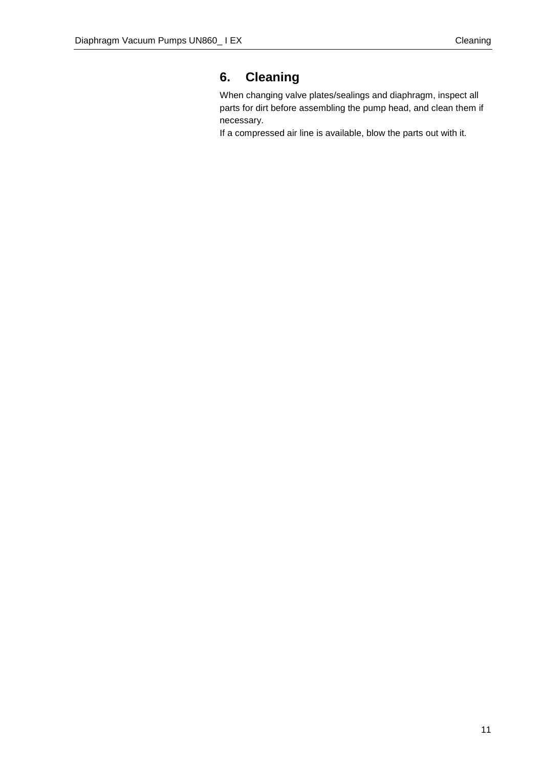# **6. Cleaning**

When changing valve plates/sealings and diaphragm, inspect all parts for dirt before assembling the pump head, and clean them if necessary.

If a compressed air line is available, blow the parts out with it.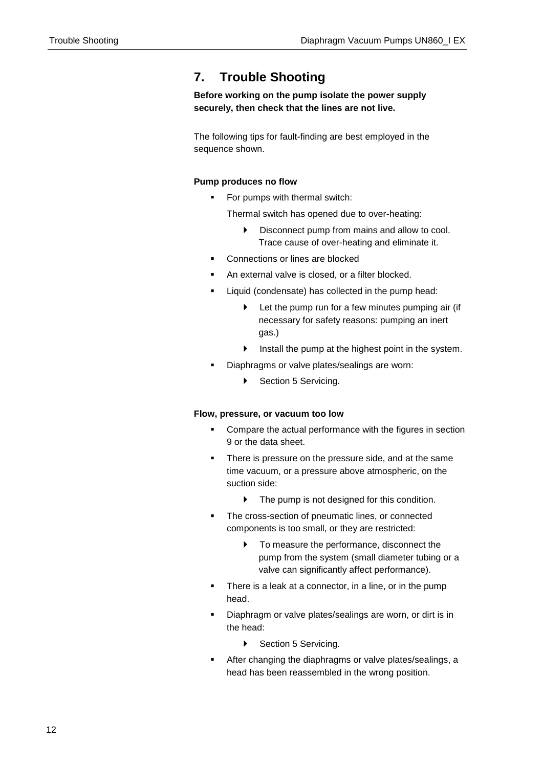# **7. Trouble Shooting**

**Before working on the pump isolate the power supply securely, then check that the lines are not live.**

The following tips for fault-finding are best employed in the sequence shown.

# **Pump produces no flow**

For pumps with thermal switch:

Thermal switch has opened due to over-heating:

- Disconnect pump from mains and allow to cool. Trace cause of over-heating and eliminate it.
- Connections or lines are blocked
- An external valve is closed, or a filter blocked.
- Liquid (condensate) has collected in the pump head:
	- Let the pump run for a few minutes pumping air (if necessary for safety reasons: pumping an inert gas.)
	- Install the pump at the highest point in the system.
- Diaphragms or valve plates/sealings are worn:
	- Section 5 Servicing.

# **Flow, pressure, or vacuum too low**

- Compare the actual performance with the figures in section 9 or the data sheet.
- There is pressure on the pressure side, and at the same time vacuum, or a pressure above atmospheric, on the suction side:
	- $\blacktriangleright$  The pump is not designed for this condition.
- The cross-section of pneumatic lines, or connected components is too small, or they are restricted:
	- $\blacktriangleright$  To measure the performance, disconnect the pump from the system (small diameter tubing or a valve can significantly affect performance).
- There is a leak at a connector, in a line, or in the pump head.
- Diaphragm or valve plates/sealings are worn, or dirt is in the head:
	- ▶ Section 5 Servicing.
- After changing the diaphragms or valve plates/sealings, a head has been reassembled in the wrong position.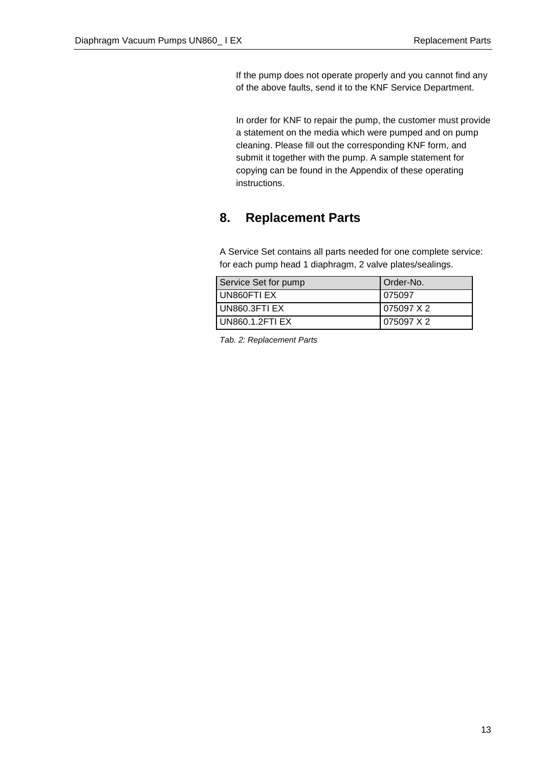If the pump does not operate properly and you cannot find any of the above faults, send it to the KNF Service Department.

In order for KNF to repair the pump, the customer must provide a statement on the media which were pumped and on pump cleaning. Please fill out the corresponding KNF form, and submit it together with the pump. A sample statement for copying can be found in the Appendix of these operating instructions.

# **8. Replacement Parts**

A Service Set contains all parts needed for one complete service: for each pump head 1 diaphragm, 2 valve plates/sealings.

| Service Set for pump | Order-No.  |
|----------------------|------------|
| UN860FTI EX          | 075097     |
| LUN860.3FTI EX       | 075097 X 2 |
| UN860.1.2FTI EX      | 075097 X 2 |

*Tab. 2: Replacement Parts*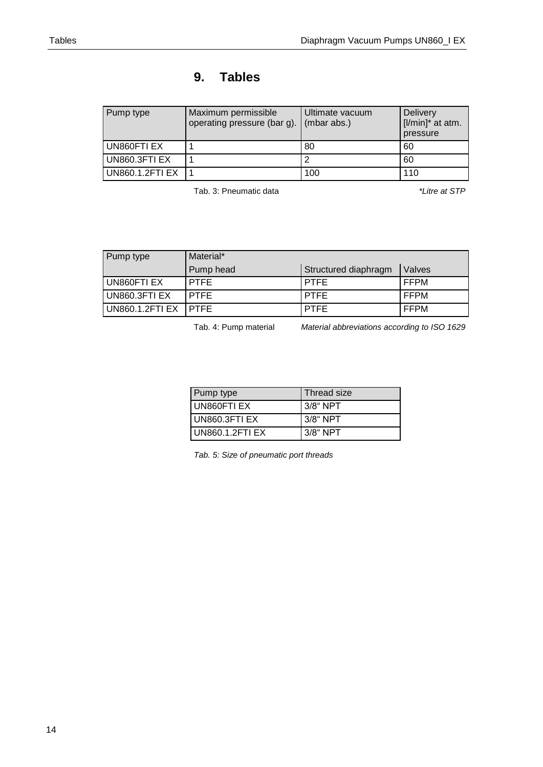# **9. Tables**

| Pump type              | Maximum permissible<br>operating pressure (bar g). | Ultimate vacuum<br>(mbar abs.) | <b>Delivery</b><br>[I/min]* at atm.<br>pressure |
|------------------------|----------------------------------------------------|--------------------------------|-------------------------------------------------|
| UN860FTI EX            |                                                    | 80                             | 60                                              |
| UN860.3FTI EX          |                                                    |                                | 60                                              |
| <b>UN860.1.2FTI EX</b> |                                                    | 100                            | 110                                             |

Tab. 3: Pneumatic data *\*Litre at STP*

| Pump type            | Material*   |                      |               |
|----------------------|-------------|----------------------|---------------|
|                      | Pump head   | Structured diaphragm | <b>Valves</b> |
| UN860FTI EX          | <b>PTFE</b> | <b>PTFE</b>          | <b>FFPM</b>   |
| UN860.3FTI EX        | <b>PTFE</b> | <b>PTFE</b>          | FFPM          |
| UN860.1.2FTI EX PTFE |             | <b>PTFE</b>          | <b>FFPM</b>   |

Tab. 4: Pump material *Material abbreviations according to ISO 1629*

| Pump type             | Thread size |
|-----------------------|-------------|
| UN860FTI EX           | 3/8" NPT    |
| <b>UN860.3FTI EX</b>  | $3/8$ " NPT |
| <b>UN860.1.2FTLEX</b> | $3/8$ " NPT |

*Tab. 5: Size of pneumatic port threads*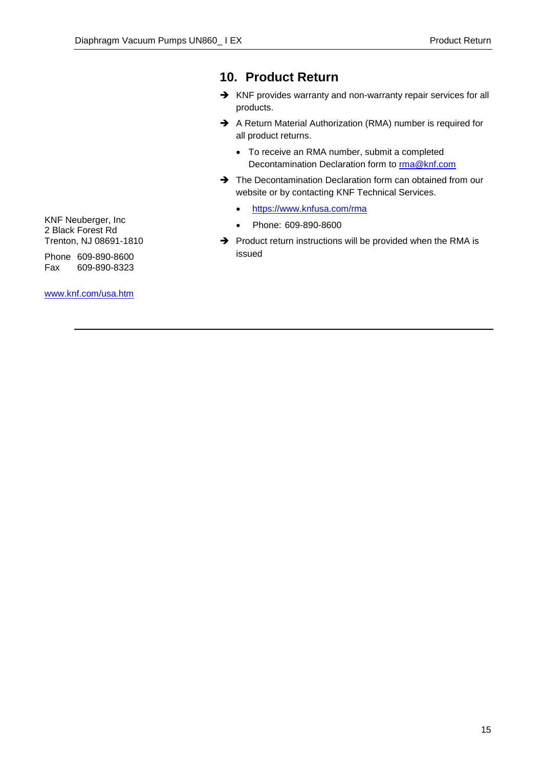# **10. Product Return**

- → KNF provides warranty and non-warranty repair services for all products.
- A Return Material Authorization (RMA) number is required for all product returns.
	- To receive an RMA number, submit a completed Decontamination Declaration form to [rma@knf.com](mailto:rma@knf.com)
- The Decontamination Declaration form can obtained from our website or by contacting KNF Technical Services.
	- <https://www.knfusa.com/rma>
	- Phone: 609-890-8600
- $\rightarrow$  Product return instructions will be provided when the RMA is issued

KNF Neuberger, Inc 2 Black Forest Rd Trenton, NJ 08691-1810

Phone 609-890-8600 Fax 609-890-8323

[www.knf.com/usa.htm](http://www.knf.com/usa.htm)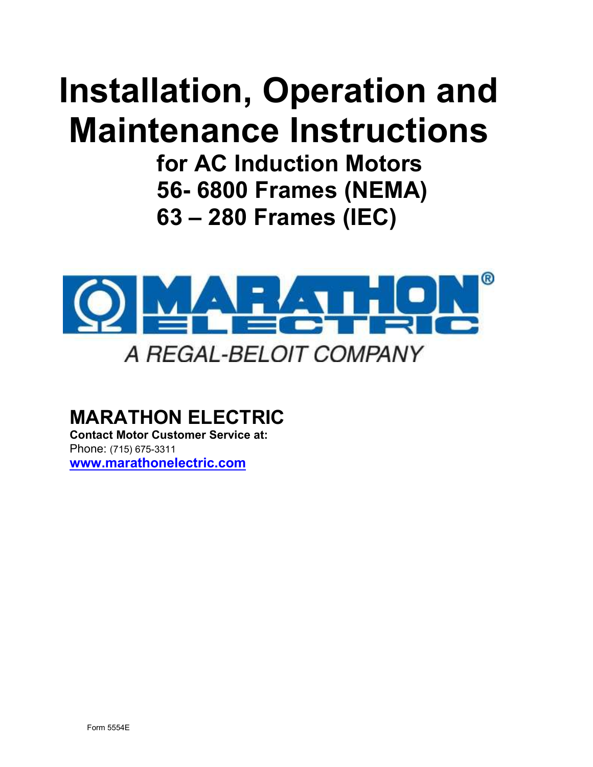# Installation, Operation and Maintenance Instructions

for AC Induction Motors 56- 6800 Frames (NEMA) 63 – 280 Frames (IEC)



# MARATHON ELECTRIC

Contact Motor Customer Service at: Phone: (715) 675-3311 www.marathonelectric.com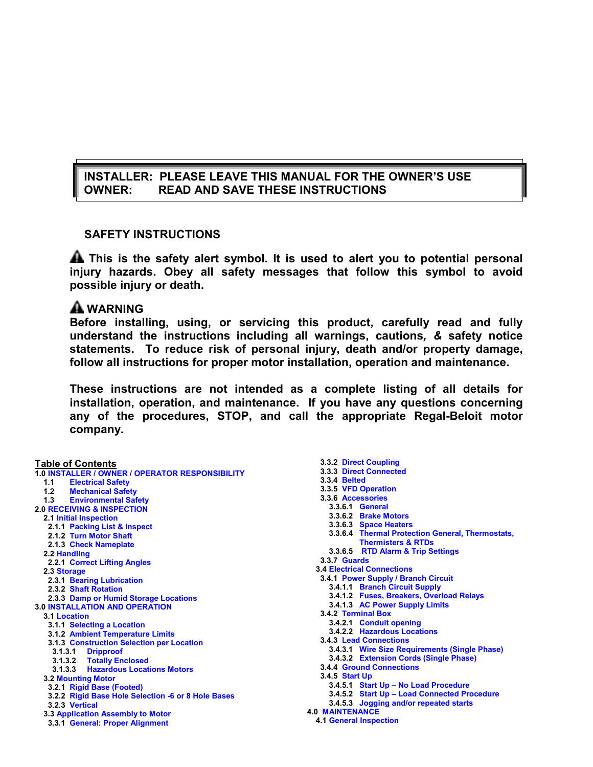# INSTALLER: PLEASE LEAVE THIS MANUAL FOR THE OWNER'S USE OWNER: READ AND SAVE THESE INSTRUCTIONS

# SAFETY INSTRUCTIONS

**A** This is the safety alert symbol. It is used to alert you to potential personal injury hazards. Obey all safety messages that follow this symbol to avoid possible injury or death.

# **A** WARNING

Before installing, using, or servicing this product, carefully read and fully understand the instructions including all warnings, cautions, & safety notice statements. To reduce risk of personal injury, death and/or property damage, follow all instructions for proper motor installation, operation and maintenance.

These instructions are not intended as a complete listing of all details for installation, operation, and maintenance. If you have any questions concerning any of the procedures, STOP, and call the appropriate Regal-Beloit motor company.

#### Table of Contents 1.0 INSTALLER / OWNER / OPERATOR RESPONSIBILITY 1.1 Electrical Safety<br>1.2 Mechanical Safet **Mechanical Safety** 1.3 Environmental Safety 2.0 RECEIVING & INSPECTION 2.1 Initial Inspection 2.1.1 Packing List & Inspect 2.1.2 Turn Motor Shaft 2.1.3 Check Nameplate 2.2 Handling 2.2.1 Correct Lifting Angles 2.3 Storage 2.3.1 Bearing Lubrication 2.3.2 Shaft Rotation 2.3.3 Damp or Humid Storage Locations 3.0 INSTALLATION AND OPERATION 3.1 Location 3.1.1 Selecting a Location 3.1.2 Ambient Temperature Limits 3.1.3 Construction Selection per Location 3.1.3.1 Dripproof 3.1.3.2 Totally Enclosed 3.1.3.3 Hazardous Locations Motors 3.2 Mounting Motor 3.2.1 Rigid Base (Footed) 3.2.2 Rigid Base Hole Selection -6 or 8 Hole Bases 3.2.3 Vertical 3.3 Application Assembly to Motor 3.3.1 General: Proper Alignment

3.3.2 Direct Coupling 3.3.3 Direct Connected 3.3.4 Belted 3.3.5 VFD Operation 3.3.6 Accessories 3.3.6.1 General 3.3.6.2 Brake Motors 3.3.6.3 Space Heaters 3.3.6.4 Thermal Protection General, Thermostats, Thermisters & RTDs 3.3.6.5 RTD Alarm & Trip Settings 3.3.7 Guards 3.4 Electrical Connections 3.4.1 Power Supply / Branch Circuit 3.4.1.1 Branch Circuit Supply 3.4.1.2 Fuses, Breakers, Overload Relays 3.4.1.3 AC Power Supply Limits 3.4.2 Terminal Box 3.4.2.1 Conduit opening 3.4.2.2 Hazardous Locations 3.4.3 Lead Connections 3.4.3.1 Wire Size Requirements (Single Phase) 3.4.3.2 Extension Cords (Single Phase) 3.4.4 Ground Connections 3.4.5 Start Up 3.4.5.1 Start Up – No Load Procedure 3.4.5.2 Start Up – Load Connected Procedure 3.4.5.3 Jogging and/or repeated starts 4.0 MAINTENANCE

4.1 General Inspection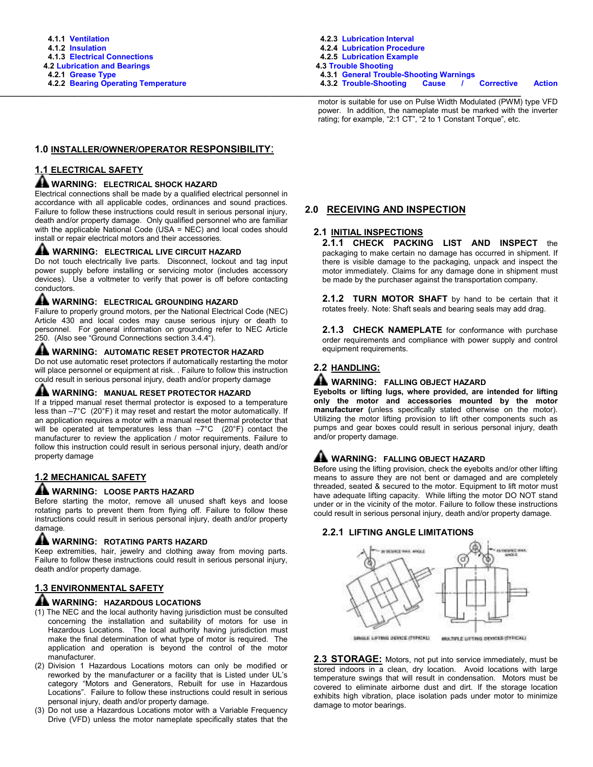\_\_\_\_\_\_\_\_\_\_\_\_\_\_\_\_\_\_\_\_\_\_\_\_\_\_\_\_\_\_\_\_\_\_\_\_\_\_\_\_\_\_\_\_\_\_\_\_\_\_\_\_\_\_\_\_\_\_\_\_\_\_\_\_\_\_\_\_\_\_\_\_\_\_\_\_\_\_\_\_\_\_\_\_\_\_\_\_\_\_\_\_\_\_\_\_\_\_\_\_\_\_\_\_\_\_\_\_\_\_\_\_\_\_\_\_\_\_\_\_\_ motor is suitable for use on Pulse Width Modulated (PWM) type VFD power. In addition, the nameplate must be marked with the inverter rating; for example, "2:1 CT", "2 to 1 Constant Torque", etc.

## 1.0 INSTALLER/OWNER/OPERATOR RESPONSIBILITY:

# 1.1 ELECTRICAL SAFETY

## **A WARNING: ELECTRICAL SHOCK HAZARD**

Electrical connections shall be made by a qualified electrical personnel in accordance with all applicable codes, ordinances and sound practices. Failure to follow these instructions could result in serious personal injury, death and/or property damage. Only qualified personnel who are familiar with the applicable National Code (USA = NEC) and local codes should install or repair electrical motors and their accessories.

#### **AL WARNING: ELECTRICAL LIVE CIRCUIT HAZARD**

Do not touch electrically live parts. Disconnect, lockout and tag input power supply before installing or servicing motor (includes accessory devices). Use a voltmeter to verify that power is off before contacting conductors.

# **A WARNING: ELECTRICAL GROUNDING HAZARD**

Failure to properly ground motors, per the National Electrical Code (NEC) Article 430 and local codes may cause serious injury or death to personnel. For general information on grounding refer to NEC Article 250. (Also see "Ground Connections section 3.4.4").

#### **AL WARNING: AUTOMATIC RESET PROTECTOR HAZARD**

Do not use automatic reset protectors if automatically restarting the motor will place personnel or equipment at risk. . Failure to follow this instruction could result in serious personal injury, death and/or property damage

## A WARNING: MANUAL RESET PROTECTOR HAZARD

If a tripped manual reset thermal protector is exposed to a temperature less than –7°C (20°F) it may reset and restart the motor automatically. If an application requires a motor with a manual reset thermal protector that will be operated at temperatures less than  $-7^{\circ}$ C (20 $^{\circ}$ F) contact the manufacturer to review the application / motor requirements. Failure to follow this instruction could result in serious personal injury, death and/or property damage

# 1.2 MECHANICAL SAFETY

#### A WARNING: LOOSE PARTS HAZARD

Before starting the motor, remove all unused shaft keys and loose rotating parts to prevent them from flying off. Failure to follow these instructions could result in serious personal injury, death and/or property damage.

#### **AL WARNING: ROTATING PARTS HAZARD**

Keep extremities, hair, jewelry and clothing away from moving parts. Failure to follow these instructions could result in serious personal injury, death and/or property damage.

# 1.3 ENVIRONMENTAL SAFETY

## **A** WARNING: HAZARDOUS LOCATIONS

- (1) The NEC and the local authority having jurisdiction must be consulted concerning the installation and suitability of motors for use in Hazardous Locations. The local authority having jurisdiction must make the final determination of what type of motor is required. The application and operation is beyond the control of the motor manufacturer.
- (2) Division 1 Hazardous Locations motors can only be modified or reworked by the manufacturer or a facility that is Listed under UL's category "Motors and Generators, Rebuilt for use in Hazardous Locations". Failure to follow these instructions could result in serious personal injury, death and/or property damage.
- (3) Do not use a Hazardous Locations motor with a Variable Frequency Drive (VFD) unless the motor nameplate specifically states that the

## 2.0 RECEIVING AND INSPECTION

#### 2.1 INITIAL INSPECTIONS

2.1.1 CHECK PACKING LIST AND INSPECT the packaging to make certain no damage has occurred in shipment. If there is visible damage to the packaging, unpack and inspect the motor immediately. Claims for any damage done in shipment must be made by the purchaser against the transportation company.

2.1.2 TURN MOTOR SHAFT by hand to be certain that it rotates freely. Note: Shaft seals and bearing seals may add drag.

2.1.3 CHECK NAMEPLATE for conformance with purchase order requirements and compliance with power supply and control equipment requirements.

# 2.2 HANDLING:

#### **A WARNING: FALLING OBJECT HAZARD**

Eyebolts or lifting lugs, where provided, are intended for lifting only the motor and accessories mounted by the motor manufacturer (unless specifically stated otherwise on the motor). Utilizing the motor lifting provision to lift other components such as pumps and gear boxes could result in serious personal injury, death and/or property damage.

# **A WARNING: FALLING OBJECT HAZARD**

Before using the lifting provision, check the eyebolts and/or other lifting means to assure they are not bent or damaged and are completely threaded, seated & secured to the motor. Equipment to lift motor must have adequate lifting capacity. While lifting the motor DO NOT stand under or in the vicinity of the motor. Failure to follow these instructions could result in serious personal injury, death and/or property damage.

#### 2.2.1 LIFTING ANGLE LIMITATIONS



2.3 STORAGE: Motors, not put into service immediately, must be stored indoors in a clean, dry location. Avoid locations with large temperature swings that will result in condensation. Motors must be covered to eliminate airborne dust and dirt. If the storage location exhibits high vibration, place isolation pads under motor to minimize damage to motor bearings.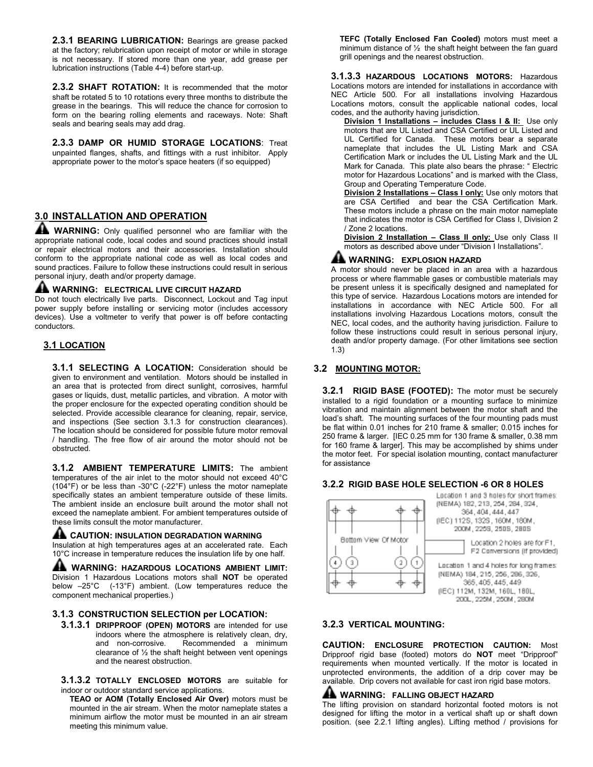2.3.1 BEARING LUBRICATION: Bearings are grease packed at the factory; relubrication upon receipt of motor or while in storage is not necessary. If stored more than one year, add grease per lubrication instructions (Table 4-4) before start-up.

2.3.2 SHAFT ROTATION: It is recommended that the motor shaft be rotated 5 to 10 rotations every three months to distribute the grease in the bearings. This will reduce the chance for corrosion to form on the bearing rolling elements and raceways. Note: Shaft seals and bearing seals may add drag.

2.3.3 DAMP OR HUMID STORAGE LOCATIONS: Treat unpainted flanges, shafts, and fittings with a rust inhibitor. Apply appropriate power to the motor's space heaters (if so equipped)

# 3.0 INSTALLATION AND OPERATION

**AL WARNING:** Only qualified personnel who are familiar with the appropriate national code, local codes and sound practices should install or repair electrical motors and their accessories. Installation should conform to the appropriate national code as well as local codes and sound practices. Failure to follow these instructions could result in serious personal injury, death and/or property damage.

#### A WARNING: ELECTRICAL LIVE CIRCUIT HAZARD

Do not touch electrically live parts. Disconnect, Lockout and Tag input power supply before installing or servicing motor (includes accessory devices). Use a voltmeter to verify that power is off before contacting conductors.

# 3.1 LOCATION

3.1.1 SELECTING A LOCATION: Consideration should be given to environment and ventilation. Motors should be installed in an area that is protected from direct sunlight, corrosives, harmful gases or liquids, dust, metallic particles, and vibration. A motor with the proper enclosure for the expected operating condition should be selected. Provide accessible clearance for cleaning, repair, service, and inspections (See section 3.1.3 for construction clearances). The location should be considered for possible future motor removal / handling. The free flow of air around the motor should not be obstructed.

3.1.2 AMBIENT TEMPERATURE LIMITS: The ambient temperatures of the air inlet to the motor should not exceed 40°C (104°F) or be less than -30°C (-22°F) unless the motor nameplate specifically states an ambient temperature outside of these limits. The ambient inside an enclosure built around the motor shall not exceed the nameplate ambient. For ambient temperatures outside of these limits consult the motor manufacturer.

## A CAUTION: INSULATION DEGRADATION WARNING

Insulation at high temperatures ages at an accelerated rate. Each 10°C increase in temperature reduces the insulation life by one half.

A WARNING: HAZARDOUS LOCATIONS AMBIENT LIMIT: Division 1 Hazardous Locations motors shall NOT be operated below –25°C (-13°F) ambient. (Low temperatures reduce the component mechanical properties.)

#### 3.1.3 CONSTRUCTION SELECTION per LOCATION:

3.1.3.1 DRIPPROOF (OPEN) MOTORS are intended for use indoors where the atmosphere is relatively clean, dry, and non-corrosive. Recommended a minimum clearance of ½ the shaft height between vent openings and the nearest obstruction.

3.1.3.2 TOTALLY ENCLOSED MOTORS are suitable for indoor or outdoor standard service applications.

TEAO or AOM (Totally Enclosed Air Over) motors must be mounted in the air stream. When the motor nameplate states a minimum airflow the motor must be mounted in an air stream meeting this minimum value.

TEFC (Totally Enclosed Fan Cooled) motors must meet a minimum distance of ½ the shaft height between the fan guard grill openings and the nearest obstruction.

3.1.3.3 HAZARDOUS LOCATIONS MOTORS: Hazardous Locations motors are intended for installations in accordance with NEC Article 500. For all installations involving Hazardous Locations motors, consult the applicable national codes, local codes, and the authority having jurisdiction.

Division 1 Installations - includes Class I & II: Use only motors that are UL Listed and CSA Certified or UL Listed and UL Certified for Canada. These motors bear a separate nameplate that includes the UL Listing Mark and CSA Certification Mark or includes the UL Listing Mark and the UL Mark for Canada. This plate also bears the phrase: " Electric motor for Hazardous Locations" and is marked with the Class, Group and Operating Temperature Code.

Division 2 Installations - Class I only: Use only motors that are CSA Certified and bear the CSA Certification Mark. These motors include a phrase on the main motor nameplate that indicates the motor is CSA Certified for Class I, Division 2 / Zone 2 locations.

Division 2 Installation - Class II only: Use only Class II motors as described above under "Division I Installations".

#### **A WARNING: EXPLOSION HAZARD**

A motor should never be placed in an area with a hazardous process or where flammable gases or combustible materials may be present unless it is specifically designed and nameplated for this type of service. Hazardous Locations motors are intended for installations in accordance with NEC Article 500. For all installations involving Hazardous Locations motors, consult the NEC, local codes, and the authority having jurisdiction. Failure to follow these instructions could result in serious personal injury, death and/or property damage. (For other limitations see section 1.3)

#### 3.2 MOUNTING MOTOR:

3.2.1 RIGID BASE (FOOTED): The motor must be securely installed to a rigid foundation or a mounting surface to minimize vibration and maintain alignment between the motor shaft and the load's shaft. The mounting surfaces of the four mounting pads must be flat within 0.01 inches for 210 frame & smaller; 0.015 inches for 250 frame & larger. [IEC 0.25 mm for 130 frame & smaller, 0.38 mm for 160 frame & larger]. This may be accomplished by shims under the motor feet. For special isolation mounting, contact manufacturer for assistance

#### 3.2.2 RIGID BASE HOLE SELECTION -6 OR 8 HOLES



Location 1 and 3 holes for short frames: (NEMA) 182, 213, 254, 284, 324, 364, 404, 444, 447 (IEC) 112S, 132S, 160M, 160M, 200M, 2259, 2509, 2809 Location 2 holes are for F1. F2 Conversions (if provided) Location 1 and 4 holes for long frames: (NEMA) 184, 215, 256, 286, 326, 365, 405, 445, 449 (IEC) 112M, 132M, 160L, 180L, 200L, 225M, 250M, 280M

#### 3.2.3 VERTICAL MOUNTING:

CAUTION: ENCLOSURE PROTECTION CAUTION: Most Dripproof rigid base (footed) motors do NOT meet "Dripproof" requirements when mounted vertically. If the motor is located in unprotected environments, the addition of a drip cover may be available. Drip covers not available for cast iron rigid base motors.

#### **A WARNING: FALLING OBJECT HAZARD**

The lifting provision on standard horizontal footed motors is not designed for lifting the motor in a vertical shaft up or shaft down position. (see 2.2.1 lifting angles). Lifting method / provisions for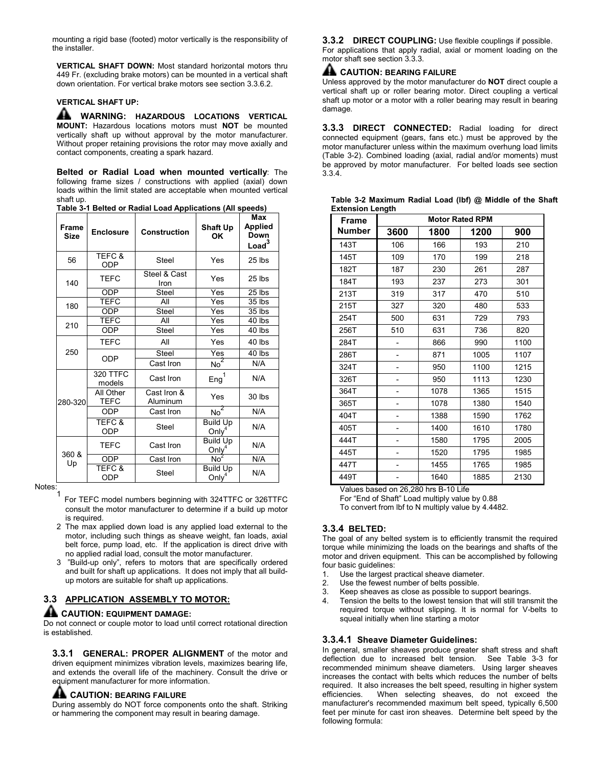mounting a rigid base (footed) motor vertically is the responsibility of the installer.

VERTICAL SHAFT DOWN: Most standard horizontal motors thru 449 Fr. (excluding brake motors) can be mounted in a vertical shaft down orientation. For vertical brake motors see section 3.3.6.2.

#### VERTICAL SHAFT UP:

**AL WARNING: HAZARDOUS LOCATIONS VERTICAL** MOUNT: Hazardous locations motors must NOT be mounted vertically shaft up without approval by the motor manufacturer. Without proper retaining provisions the rotor may move axially and contact components, creating a spark hazard.

Belted or Radial Load when mounted vertically: The following frame sizes / constructions with applied (axial) down loads within the limit stated are acceptable when mounted vertical shaft up.

Table 3-1 Belted or Radial Load Applications (All speeds)

| Frame<br><b>Size</b> | <b>Enclosure</b>                | rapie o-i Beneu or Itaurai Loau Applications (Air speeus)<br><b>Construction</b> | <b>Shaft Up</b><br>OK                | Max<br><b>Applied</b><br>Down<br>Load <sup>3</sup> |
|----------------------|---------------------------------|----------------------------------------------------------------------------------|--------------------------------------|----------------------------------------------------|
| 56                   | TEFC &<br>ODP                   | <b>Steel</b>                                                                     | Yes                                  | $25$ lbs                                           |
| 140                  | <b>TEFC</b>                     | Steel & Cast<br>Iron                                                             | Yes                                  | 25 lbs                                             |
|                      | <b>ODP</b>                      | <b>Steel</b>                                                                     | $\overline{Y}$ es                    | 25 lbs                                             |
| 180                  | <b>TEFC</b>                     | All                                                                              | Yes                                  | 35 lbs                                             |
|                      | <b>ODP</b>                      | Steel                                                                            | Yes                                  | 35 lbs                                             |
| 210                  | <b>TEFC</b>                     | All                                                                              | Yes                                  | 40 lbs                                             |
|                      | <b>ODP</b>                      | <b>Steel</b>                                                                     | Yes                                  | 40 lbs                                             |
|                      | <b>TEFC</b>                     | All                                                                              | Yes                                  | 40 lbs                                             |
| 250                  |                                 | Steel                                                                            | Yes                                  | 40 lbs                                             |
|                      | <b>ODP</b>                      | Cast Iron                                                                        | No <sup>2</sup>                      | N/A                                                |
|                      | 320 TTFC<br>models              | Cast Iron                                                                        | Eng <sup>1</sup>                     | N/A                                                |
| 280-320              | All Other<br><b>TEFC</b>        | Cast Iron &<br>Aluminum                                                          | Yes                                  | 30 lbs                                             |
|                      | <b>ODP</b>                      | Cast Iron                                                                        | No <sup>2</sup>                      | N/A                                                |
|                      | TEFC &<br><b>ODP</b>            | <b>Steel</b>                                                                     | <b>Build Up</b><br>Only <sup>4</sup> | N/A                                                |
| 360 &                | <b>TEFC</b>                     | Cast Iron                                                                        | <b>Build Up</b><br>Only              | N/A                                                |
| Up                   | <b>ODP</b>                      | Cast Iron                                                                        | No <sup>2</sup>                      | N/A                                                |
|                      | <b>TEFC &amp;</b><br><b>ODP</b> | <b>Steel</b>                                                                     | <b>Build Up</b><br>Only <sup>4</sup> | N/A                                                |

Notes:

- 1 For TEFC model numbers beginning with 324TTFC or 326TTFC consult the motor manufacturer to determine if a build up motor is required.
- 2 The max applied down load is any applied load external to the motor, including such things as sheave weight, fan loads, axial belt force, pump load, etc. If the application is direct drive with no applied radial load, consult the motor manufacturer.
- 3 "Build-up only", refers to motors that are specifically ordered and built for shaft up applications. It does not imply that all buildup motors are suitable for shaft up applications.

# 3.3 APPLICATION ASSEMBLY TO MOTOR:

#### AL CAUTION: EQUIPMENT DAMAGE:

Do not connect or couple motor to load until correct rotational direction is established.

3.3.1 GENERAL: PROPER ALIGNMENT of the motor and driven equipment minimizes vibration levels, maximizes bearing life, and extends the overall life of the machinery. Consult the drive or equipment manufacturer for more information.

#### A CAUTION: BEARING FAILURE

During assembly do NOT force components onto the shaft. Striking or hammering the component may result in bearing damage.

3.3.2 DIRECT COUPLING: Use flexible couplings if possible. For applications that apply radial, axial or moment loading on the motor shaft see section 3.3.3.

# A CAUTION: BEARING FAILURE

Unless approved by the motor manufacturer do NOT direct couple a vertical shaft up or roller bearing motor. Direct coupling a vertical shaft up motor or a motor with a roller bearing may result in bearing damage.

3.3.3 DIRECT CONNECTED: Radial loading for direct connected equipment (gears, fans etc.) must be approved by the motor manufacturer unless within the maximum overhung load limits (Table 3-2). Combined loading (axial, radial and/or moments) must be approved by motor manufacturer. For belted loads see section 3.3.4.

| Table 3-2 Maximum Radial Load (lbf) @ Middle of the Shaft |  |  |  |  |
|-----------------------------------------------------------|--|--|--|--|
| <b>Extension Length</b>                                   |  |  |  |  |

| <b>Frame</b> | <br><b>Motor Rated RPM</b> |      |      |      |  |  |  |  |
|--------------|----------------------------|------|------|------|--|--|--|--|
| Number       | 3600                       | 1800 | 1200 | 900  |  |  |  |  |
| 143T         | 106                        | 166  | 193  | 210  |  |  |  |  |
| 145T         | 109                        | 170  | 199  | 218  |  |  |  |  |
| 182T         | 187                        | 230  | 261  | 287  |  |  |  |  |
| 184T         | 193                        | 237  | 273  | 301  |  |  |  |  |
| 213T         | 319                        | 317  | 470  | 510  |  |  |  |  |
| 215T         | 327                        | 320  | 480  | 533  |  |  |  |  |
| 254T         | 500                        | 631  | 729  | 793  |  |  |  |  |
| 256T         | 510                        | 631  | 736  | 820  |  |  |  |  |
| 284T         | -                          | 866  | 990  | 1100 |  |  |  |  |
| 286T         |                            | 871  | 1005 | 1107 |  |  |  |  |
| 324T         |                            | 950  | 1100 | 1215 |  |  |  |  |
| 326T         |                            | 950  | 1113 | 1230 |  |  |  |  |
| 364T         |                            | 1078 | 1365 | 1515 |  |  |  |  |
| 365T         |                            | 1078 | 1380 | 1540 |  |  |  |  |
| 404T         |                            | 1388 | 1590 | 1762 |  |  |  |  |
| 405T         |                            | 1400 | 1610 | 1780 |  |  |  |  |
| 444T         |                            | 1580 | 1795 | 2005 |  |  |  |  |
| 445T         |                            | 1520 | 1795 | 1985 |  |  |  |  |
| 447T         |                            | 1455 | 1765 | 1985 |  |  |  |  |
| 449T         |                            | 1640 | 1885 | 2130 |  |  |  |  |

Values based on 26,280 hrs B-10 Life

For "End of Shaft" Load multiply value by 0.88

To convert from lbf to N multiply value by 4.4482.

#### 3.3.4 BELTED:

The goal of any belted system is to efficiently transmit the required torque while minimizing the loads on the bearings and shafts of the motor and driven equipment. This can be accomplished by following four basic guidelines:

- 1. Use the largest practical sheave diameter.
- 2. Use the fewest number of belts possible.
- 3. Keep sheaves as close as possible to support bearings.
- Tension the belts to the lowest tension that will still transmit the required torque without slipping. It is normal for V-belts to squeal initially when line starting a motor

#### 3.3.4.1 Sheave Diameter Guidelines:

In general, smaller sheaves produce greater shaft stress and shaft deflection due to increased belt tension. See Table 3-3 for recommended minimum sheave diameters. Using larger sheaves increases the contact with belts which reduces the number of belts required. It also increases the belt speed, resulting in higher system efficiencies. When selecting sheaves, do not exceed the manufacturer's recommended maximum belt speed, typically 6,500 feet per minute for cast iron sheaves. Determine belt speed by the following formula: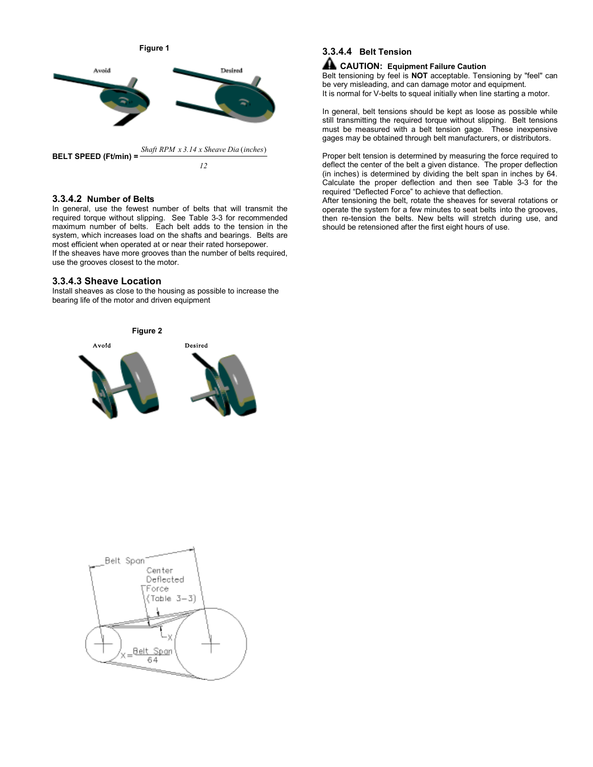Figure 1



#### 3.3.4.2 Number of Belts

In general, use the fewest number of belts that will transmit the required torque without slipping. See Table 3-3 for recommended maximum number of belts. Each belt adds to the tension in the system, which increases load on the shafts and bearings. Belts are most efficient when operated at or near their rated horsepower. If the sheaves have more grooves than the number of belts required, use the grooves closest to the motor.

#### 3.3.4.3 Sheave Location

Install sheaves as close to the housing as possible to increase the bearing life of the motor and driven equipment



# 3.3.4.4 Belt Tension

## **A** CAUTION: Equipment Failure Caution

Belt tensioning by feel is NOT acceptable. Tensioning by "feel" can be very misleading, and can damage motor and equipment. It is normal for V-belts to squeal initially when line starting a motor.

In general, belt tensions should be kept as loose as possible while still transmitting the required torque without slipping. Belt tensions must be measured with a belt tension gage. These inexpensive gages may be obtained through belt manufacturers, or distributors.

Proper belt tension is determined by measuring the force required to deflect the center of the belt a given distance. The proper deflection (in inches) is determined by dividing the belt span in inches by 64. Calculate the proper deflection and then see Table 3-3 for the required "Deflected Force" to achieve that deflection.

After tensioning the belt, rotate the sheaves for several rotations or operate the system for a few minutes to seat belts into the grooves, then re-tension the belts. New belts will stretch during use, and should be retensioned after the first eight hours of use.

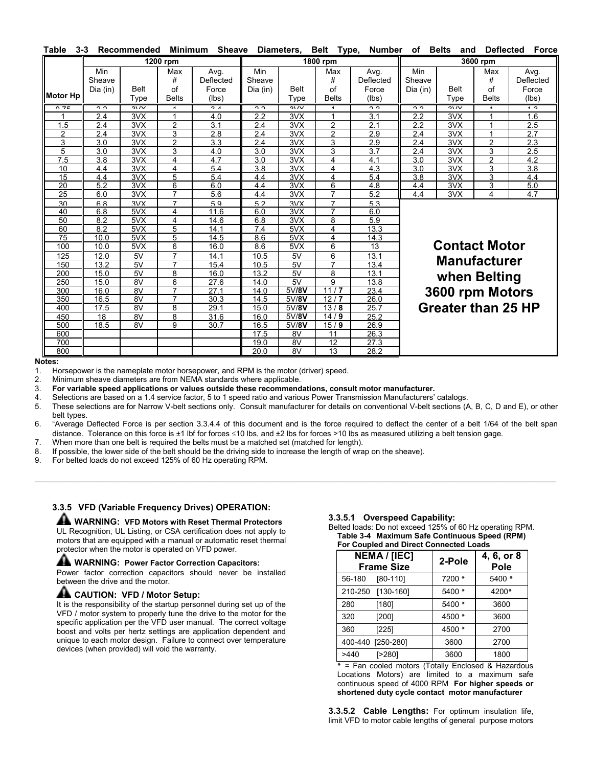| Table          | $3 - 3$                   | Recommended         | <b>Minimum</b>                 | <b>Sheave</b>                       |                           | Diameters,          | <b>Belt</b><br>Type,           | <b>Number</b>                       | оf                        | <b>Belts</b><br>and       | <b>Deflected</b>               | <b>Force</b>                        |
|----------------|---------------------------|---------------------|--------------------------------|-------------------------------------|---------------------------|---------------------|--------------------------------|-------------------------------------|---------------------------|---------------------------|--------------------------------|-------------------------------------|
|                |                           |                     | 1200 rpm                       |                                     |                           |                     | 1800 rpm                       |                                     |                           |                           | 3600 rpm                       |                                     |
| Motor Hp       | Min<br>Sheave<br>Dia (in) | <b>Belt</b><br>Type | Max<br>#<br>of<br><b>Belts</b> | Avg.<br>Deflected<br>Force<br>(lbs) | Min<br>Sheave<br>Dia (in) | <b>Belt</b><br>Type | Max<br>#<br>of<br><b>Belts</b> | Avg.<br>Deflected<br>Force<br>(Ibs) | Min<br>Sheave<br>Dia (in) | <b>Belt</b><br>Type       | Max<br>#<br>of<br><b>Belts</b> | Avg.<br>Deflected<br>Force<br>(lbs) |
| 0.75           | ò                         | $\frac{2}{3}$       | $\overline{A}$                 | $\overline{\phantom{a}}$            | c<br>c                    | $\frac{2}{3}$       | $\overline{A}$                 | ה ה                                 | ò                         | $\frac{2}{\sqrt{2}}$      | 4                              | $\sim$                              |
|                | 2.4                       | 3VX                 | 1                              | 4.0                                 | 2.2                       | 3VX                 | 1                              | 3.1                                 | 2.2                       | 3VX                       |                                | 1.6                                 |
| 1.5            | 2.4                       | 3VX                 | $\overline{2}$                 | 3.1                                 | 2.4                       | 3VX                 | $\overline{2}$                 | 2.1                                 | 2.2                       | 3VX                       | 1                              | 2.5                                 |
| $\overline{2}$ | 2.4                       | 3VX                 | 3                              | 2.8                                 | 2.4                       | 3VX                 | 2                              | 2.9                                 | 2.4                       | 3VX                       | 1                              | 2.7                                 |
| 3              | 3.0                       | 3VX                 | $\overline{2}$                 | 3.3                                 | 2.4                       | 3VX                 | 3                              | 2.9                                 | 2.4                       | 3VX                       | $\overline{2}$                 | 2.3                                 |
| 5              | 3.0                       | 3VX                 | 3                              | 4.0                                 | 3.0                       | 3VX                 | 3                              | 3.7                                 | 2.4                       | 3VX                       | 3                              | 2.5                                 |
| 7.5            | 3.8                       | 3VX                 | 4                              | 4.7                                 | 3.0                       | 3VX                 | 4                              | 4.1                                 | 3.0                       | 3VX                       | $\overline{c}$                 | 4.2                                 |
| 10             | 4.4                       | 3VX                 | 4                              | 5.4                                 | 3.8                       | 3VX                 | $\overline{4}$                 | 4.3                                 | 3.0                       | 3VX                       | 3                              | 3.8                                 |
| 15             | 4.4                       | 3VX                 | 5                              | 5.4                                 | 4.4                       | 3VX                 | 4                              | 5.4                                 | 3.8                       | 3VX                       | 3                              | 4.4                                 |
| 20             | 5.2                       | 3VX                 | 6                              | 6.0                                 | 4.4                       | 3VX                 | 6                              | 4.8                                 | 4.4                       | 3VX                       | 3                              | 5.0                                 |
| 25             | 6.0                       | 3VX                 | $\overline{7}$                 | 5.6                                 | 4.4                       | 3VX                 | 7                              | 5.2                                 | 4.4                       | 3VX                       | 4                              | 4.7                                 |
| 30             | 6 R                       | 3VX                 | $\overline{7}$                 | 59                                  | 52                        | 3VX                 | $\overline{7}$                 | 53                                  |                           |                           |                                |                                     |
| 40             | 6.8                       | 5VX                 | 4                              | 11.6                                | 6.0                       | 3VX                 | $\overline{7}$                 | 6.0                                 |                           |                           |                                |                                     |
| 50             | 8.2                       | 5VX                 | 4                              | 14.6                                | 6.8                       | 3VX                 | 8                              | 5.9                                 |                           |                           |                                |                                     |
| 60             | 8.2                       | 5VX                 | 5                              | 14.1                                | 7.4                       | 5VX                 | $\overline{4}$                 | 13.3                                |                           |                           |                                |                                     |
| 75             | 10.0                      | 5VX                 | 5                              | 14.5                                | 8.6                       | 5VX                 | 4                              | 14.3                                |                           |                           |                                |                                     |
| 100            | 10.0                      | 5VX                 | 6                              | 16.0                                | 8.6                       | 5VX                 | 6                              | 13                                  |                           | <b>Contact Motor</b>      |                                |                                     |
| 125            | 12.0                      | 5V                  | $\overline{7}$                 | 14.1                                | 10.5                      | 5V                  | 6                              | 13.1                                |                           |                           |                                |                                     |
| 150            | 13.2                      | 5V                  | $\overline{7}$                 | 15.4                                | 10.5                      | 5V                  | $\overline{7}$                 | 13.4                                |                           | <b>Manufacturer</b>       |                                |                                     |
| 200            | 15.0                      | 5V                  | 8                              | 16.0                                | 13.2                      | 5V                  | 8                              | 13.1                                |                           | when Belting              |                                |                                     |
| 250            | 15.0                      | 8V                  | 6                              | 27.6                                | 14.0                      | 5V                  | 9                              | 13.8                                |                           |                           |                                |                                     |
| 300            | 16.0                      | 8V                  | $\overline{7}$                 | 27.1                                | 14.0                      | 5V/8V               | 11/7                           | 23.4                                |                           | 3600 rpm Motors           |                                |                                     |
| 350            | 16.5                      | 8V                  | $\overline{7}$                 | 30.3                                | 14.5                      | 5V/8V               | 12/7                           | 26.0                                |                           |                           |                                |                                     |
| 400            | 17.5                      | 8V                  | 8                              | 29.1                                | 15.0                      | 5V/8V               | 13/8                           | 25.7                                |                           | <b>Greater than 25 HP</b> |                                |                                     |
| 450            | 18                        | 8V                  | 8                              | 31.6                                | 16.0                      | 5V/8V               | 14/9                           | 25.2                                |                           |                           |                                |                                     |
| 500            | 18.5                      | 8V                  | 9                              | 30.7                                | 16.5                      | 5V/8V               | 15/9                           | 26.9                                |                           |                           |                                |                                     |
| 600            |                           |                     |                                |                                     | 17.5                      | 8V                  | 11                             | 26.3                                |                           |                           |                                |                                     |
| 700            |                           |                     |                                |                                     | 19.0                      | 8V                  | 12                             | 27.3                                |                           |                           |                                |                                     |
| 800            |                           |                     |                                |                                     | 20.0                      | 8V                  | 13                             | 28.2                                |                           |                           |                                |                                     |

Notes:

1. Horsepower is the nameplate motor horsepower, and RPM is the motor (driver) speed.<br>2. Minimum sheave diameters are from NFMA standards where applicable

Minimum sheave diameters are from NEMA standards where applicable.

3. For variable speed applications or values outside these recommendations, consult motor manufacturer.

4. Selections are based on a 1.4 service factor, 5 to 1 speed ratio and various Power Transmission Manufacturers' catalogs.<br>5. These selections are for Narrow V-belt sections only. Consult manufacturer for details on conve

These selections are for Narrow V-belt sections only. Consult manufacturer for details on conventional V-belt sections (A, B, C, D and E), or other belt types.

6. "Average Deflected Force is per section 3.3.4.4 of this document and is the force required to deflect the center of a belt 1/64 of the belt span distance. Tolerance on this force is  $\pm 1$  lbf for forces  $\leq 10$  lbs, and  $\pm 2$  lbs for forces >10 lbs as measured utilizing a belt tension gage.

\_\_\_\_\_\_\_\_\_\_\_\_\_\_\_\_\_\_\_\_\_\_\_\_\_\_\_\_\_\_\_\_\_\_\_\_\_\_\_\_\_\_\_\_\_\_\_\_\_\_\_\_\_\_\_\_\_\_\_\_\_\_\_\_\_\_\_\_\_\_\_\_\_\_\_\_\_\_\_\_\_\_\_\_\_\_\_\_\_\_\_\_\_\_\_\_\_\_\_\_\_\_\_\_\_\_\_\_\_\_\_\_\_\_\_\_\_\_\_\_\_

7. When more than one belt is required the belts must be a matched set (matched for length).

8. If possible, the lower side of the belt should be the driving side to increase the length of wrap on the sheave).

9. For belted loads do not exceed 125% of 60 Hz operating RPM.

# 3.3.5 VFD (Variable Frequency Drives) OPERATION:

**A WARNING: VFD Motors with Reset Thermal Protectors** UL Recognition, UL Listing, or CSA certification does not apply to motors that are equipped with a manual or automatic reset thermal protector when the motor is operated on VFD power.

#### **AL WARNING: Power Factor Correction Capacitors:**

Power factor correction capacitors should never be installed between the drive and the motor.

#### AL CAUTION: VFD / Motor Setup:

It is the responsibility of the startup personnel during set up of the VFD / motor system to properly tune the drive to the motor for the specific application per the VFD user manual. The correct voltage boost and volts per hertz settings are application dependent and unique to each motor design. Failure to connect over temperature devices (when provided) will void the warranty.

#### 3.3.5.1 Overspeed Capability:

Belted loads: Do not exceed 125% of 60 Hz operating RPM. Table 3-4 Maximum Safe Continuous Speed (RPM) For Coupled and Direct Connected Loads

| <b>NEMA / [IEC]</b><br><b>Frame Size</b> | 2-Pole | 4, 6, or 8<br>Pole |
|------------------------------------------|--------|--------------------|
| $[80-110]$<br>56-180                     | 7200 * | 5400 *             |
| 210-250<br>$[130-160]$                   | 5400 * | 4200*              |
| 280<br>[180]                             | 5400 * | 3600               |
| 320<br>[200]                             | 4500 * | 3600               |
| 360<br>[225]                             | 4500 * | 2700               |
| [250-280]<br>400-440                     | 3600   | 2700               |
| I>2801<br>>440                           | 3600   | 1800               |

\* = Fan cooled motors (Totally Enclosed & Hazardous Locations Motors) are limited to a maximum safe continuous speed of 4000 RPM For higher speeds or shortened duty cycle contact motor manufacturer

3.3.5.2 Cable Lengths: For optimum insulation life, limit VFD to motor cable lengths of general purpose motors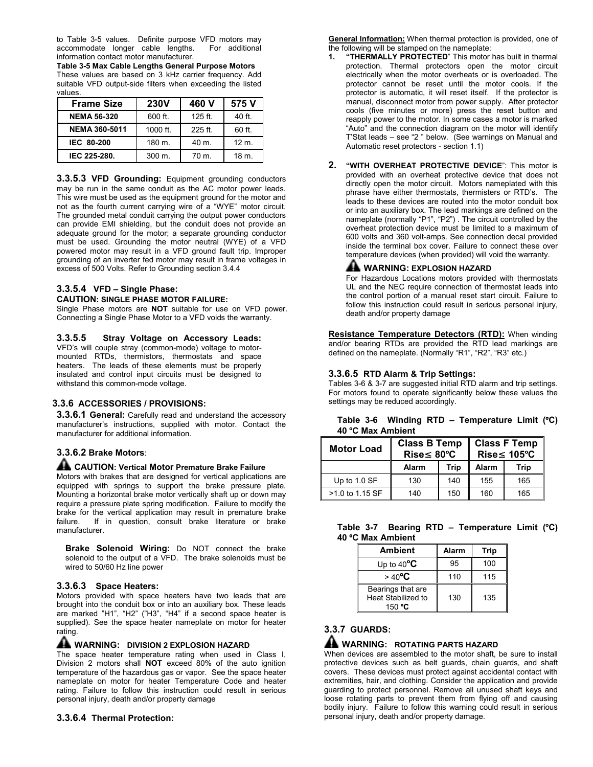to Table 3-5 values. Definite purpose VFD motors may accommodate longer cable lengths. For additional accommodate longer cable lengths. information contact motor manufacturer.

Table 3-5 Max Cable Lengths General Purpose Motors These values are based on 3 kHz carrier frequency. Add suitable VFD output-side filters when exceeding the listed values.

| <b>Frame Size</b>  | <b>230V</b>         | 460 V     | 575 V            |
|--------------------|---------------------|-----------|------------------|
| <b>NEMA 56-320</b> | 600 ft.             | $125$ ft. | 40 ft.           |
| NEMA 360-5011      | 1000 ft.            | 225 ft.   | 60 ft.           |
| IEC 80-200         | $180 \text{ m}$ .   | 40 m.     | $12 \text{ m}$ . |
| IEC 225-280.       | $300 \; \text{m}$ . | 70 m.     | $18m$ .          |

**3.3.5.3 VFD Grounding:** Equipment grounding conductors may be run in the same conduit as the AC motor power leads. This wire must be used as the equipment ground for the motor and not as the fourth current carrying wire of a "WYE" motor circuit. The grounded metal conduit carrying the output power conductors can provide EMI shielding, but the conduit does not provide an adequate ground for the motor; a separate grounding conductor must be used. Grounding the motor neutral (WYE) of a VFD powered motor may result in a VFD ground fault trip. Improper grounding of an inverter fed motor may result in frame voltages in excess of 500 Volts. Refer to Grounding section 3.4.4

#### 3.3.5.4 VFD – Single Phase:

#### CAUTION: SINGLE PHASE MOTOR FAILURE:

Single Phase motors are **NOT** suitable for use on VFD power. Connecting a Single Phase Motor to a VFD voids the warranty.

#### 3.3.5.5 Stray Voltage on Accessory Leads:

VFD's will couple stray (common-mode) voltage to motormounted RTDs, thermistors, thermostats and space heaters. The leads of these elements must be properly insulated and control input circuits must be designed to withstand this common-mode voltage.

#### 3.3.6 ACCESSORIES / PROVISIONS:

**3.3.6.1 General:** Carefully read and understand the accessory manufacturer's instructions, supplied with motor. Contact the manufacturer for additional information.

# 3.3.6.2 Brake Motors:

#### AL CAUTION: Vertical Motor Premature Brake Failure

Motors with brakes that are designed for vertical applications are equipped with springs to support the brake pressure plate. Mounting a horizontal brake motor vertically shaft up or down may require a pressure plate spring modification. Failure to modify the brake for the vertical application may result in premature brake failure. If in question, consult brake literature or brake manufacturer.

Brake Solenoid Wiring: Do NOT connect the brake solenoid to the output of a VFD. The brake solenoids must be wired to 50/60 Hz line power

#### 3.3.6.3 Space Heaters:

Motors provided with space heaters have two leads that are brought into the conduit box or into an auxiliary box. These leads are marked "H1", "H2" ("H3", "H4" if a second space heater is supplied). See the space heater nameplate on motor for heater rating.

# **A** WARNING: DIVISION 2 EXPLOSION HAZARD

The space heater temperature rating when used in Class I, Division 2 motors shall NOT exceed 80% of the auto ignition temperature of the hazardous gas or vapor. See the space heater nameplate on motor for heater Temperature Code and heater rating. Failure to follow this instruction could result in serious personal injury, death and/or property damage

#### 3.3.6.4 Thermal Protection:

General Information: When thermal protection is provided, one of the following will be stamped on the nameplate:<br>1. "THERMALLY PROTECTED" This motor

- "THERMALLY PROTECTED" This motor has built in thermal protection. Thermal protectors open the motor circuit electrically when the motor overheats or is overloaded. The protector cannot be reset until the motor cools. If the protector is automatic, it will reset itself. If the protector is manual, disconnect motor from power supply. After protector cools (five minutes or more) press the reset button and reapply power to the motor. In some cases a motor is marked "Auto" and the connection diagram on the motor will identify T'Stat leads – see "2 " below. (See warnings on Manual and Automatic reset protectors - section 1.1)
- 2. "WITH OVERHEAT PROTECTIVE DEVICE": This motor is provided with an overheat protective device that does not directly open the motor circuit. Motors nameplated with this phrase have either thermostats, thermisters or RTD's. The leads to these devices are routed into the motor conduit box or into an auxiliary box. The lead markings are defined on the nameplate (normally "P1", "P2") . The circuit controlled by the overheat protection device must be limited to a maximum of 600 volts and 360 volt-amps. See connection decal provided inside the terminal box cover. Failure to connect these over temperature devices (when provided) will void the warranty.

## A WARNING: EXPLOSION HAZARD

For Hazardous Locations motors provided with thermostats UL and the NEC require connection of thermostat leads into the control portion of a manual reset start circuit. Failure to follow this instruction could result in serious personal injury, death and/or property damage

Resistance Temperature Detectors (RTD): When winding and/or bearing RTDs are provided the RTD lead markings are defined on the nameplate. (Normally "R1", "R2", "R3" etc.)

#### 3.3.6.5 RTD Alarm & Trip Settings:

Tables 3-6 & 3-7 are suggested initial RTD alarm and trip settings. For motors found to operate significantly below these values the settings may be reduced accordingly.

|                   |  | Table 3-6 Winding RTD - Temperature Limit (°C) |  |
|-------------------|--|------------------------------------------------|--|
| 40 °C Max Ambient |  |                                                |  |

| <b>Motor Load</b> | <b>Class B Temp</b><br>$Rise \leq 80^{\circ}C$ |      |       | <b>Class F Temp</b><br>$Rise \leq 105^{\circ}C$ |
|-------------------|------------------------------------------------|------|-------|-------------------------------------------------|
|                   | Alarm                                          | Trip | Alarm | <b>Trip</b>                                     |
| Up to 1.0 SF      | 130                                            | 140  | 155   | 165                                             |
| $>1.0$ to 1.15 SF | 140                                            | 150  | 160   | 165                                             |

|                   |  | Table 3-7 Bearing RTD - Temperature Limit (°C) |  |
|-------------------|--|------------------------------------------------|--|
| 40 °C Max Ambient |  |                                                |  |

| <b>Ambient</b>                                    | Alarm | Trip |
|---------------------------------------------------|-------|------|
| Up to $40^{\circ}$ C                              | 95    | 100  |
| $>40^{\circ}$ C                                   | 110   | 115  |
| Bearings that are<br>Heat Stabilized to<br>150 °C | 130   | 135  |

# 3.3.7 GUARDS:

## **A** WARNING: ROTATING PARTS HAZARD

When devices are assembled to the motor shaft, be sure to install protective devices such as belt guards, chain guards, and shaft covers. These devices must protect against accidental contact with extremities, hair, and clothing. Consider the application and provide guarding to protect personnel. Remove all unused shaft keys and loose rotating parts to prevent them from flying off and causing bodily injury. Failure to follow this warning could result in serious personal injury, death and/or property damage.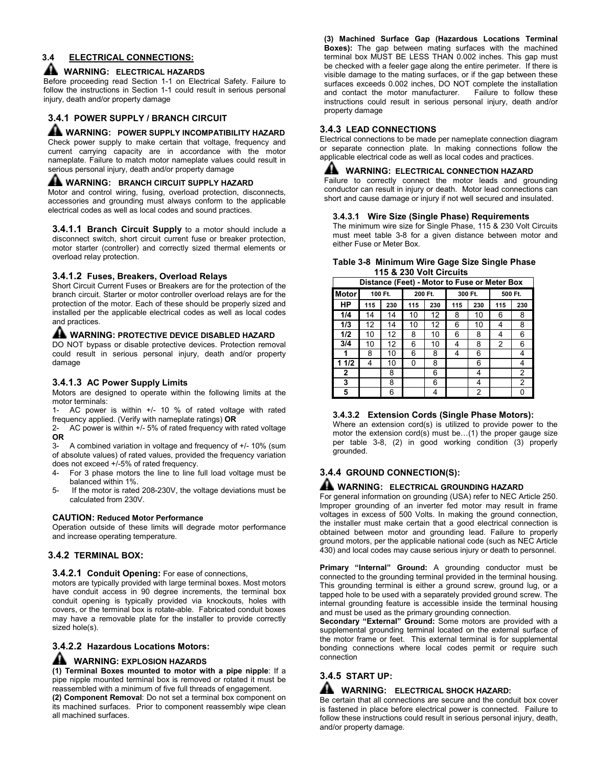# 3.4 ELECTRICAL CONNECTIONS:

#### **AL WARNING: ELECTRICAL HAZARDS**

Before proceeding read Section 1-1 on Electrical Safety. Failure to follow the instructions in Section 1-1 could result in serious personal injury, death and/or property damage

#### 3.4.1 POWER SUPPLY / BRANCH CIRCUIT

# **A** WARNING: POWER SUPPLY INCOMPATIBILITY HAZARD

Check power supply to make certain that voltage, frequency and current carrying capacity are in accordance with the motor nameplate. Failure to match motor nameplate values could result in serious personal injury, death and/or property damage

#### A WARNING: BRANCH CIRCUIT SUPPLY HAZARD

Motor and control wiring, fusing, overload protection, disconnects, accessories and grounding must always conform to the applicable electrical codes as well as local codes and sound practices.

**3.4.1.1 Branch Circuit Supply** to a motor should include a disconnect switch, short circuit current fuse or breaker protection, motor starter (controller) and correctly sized thermal elements or overload relay protection.

#### 3.4.1.2 Fuses, Breakers, Overload Relays

Short Circuit Current Fuses or Breakers are for the protection of the branch circuit. Starter or motor controller overload relays are for the protection of the motor. Each of these should be properly sized and installed per the applicable electrical codes as well as local codes and practices.

#### A WARNING: PROTECTIVE DEVICE DISABLED HAZARD

DO NOT bypass or disable protective devices. Protection removal could result in serious personal injury, death and/or property damage

#### 3.4.1.3 AC Power Supply Limits

Motors are designed to operate within the following limits at the motor terminals:

1- AC power is within +/- 10 % of rated voltage with rated frequency applied. (Verify with nameplate ratings) OR

2- AC power is within +/- 5% of rated frequency with rated voltage OR

3- A combined variation in voltage and frequency of +/- 10% (sum of absolute values) of rated values, provided the frequency variation does not exceed +/-5% of rated frequency.

- 4- For 3 phase motors the line to line full load voltage must be balanced within 1%.
- 5- If the motor is rated 208-230V, the voltage deviations must be calculated from 230V.

#### CAUTION: Reduced Motor Performance

Operation outside of these limits will degrade motor performance and increase operating temperature.

#### 3.4.2 TERMINAL BOX:

#### 3.4.2.1 Conduit Opening: For ease of connections,

motors are typically provided with large terminal boxes. Most motors have conduit access in 90 degree increments, the terminal box conduit opening is typically provided via knockouts, holes with covers, or the terminal box is rotate-able. Fabricated conduit boxes may have a removable plate for the installer to provide correctly sized hole(s).

#### 3.4.2.2 Hazardous Locations Motors:

#### **AL WARNING: EXPLOSION HAZARDS**

(1) Terminal Boxes mounted to motor with a pipe nipple: If a pipe nipple mounted terminal box is removed or rotated it must be reassembled with a minimum of five full threads of engagement.

(2) Component Removal: Do not set a terminal box component on its machined surfaces. Prior to component reassembly wipe clean all machined surfaces.

(3) Machined Surface Gap (Hazardous Locations Terminal Boxes): The gap between mating surfaces with the machined terminal box MUST BE LESS THAN 0.002 inches. This gap must be checked with a feeler gage along the entire perimeter. If there is visible damage to the mating surfaces, or if the gap between these surfaces exceeds 0.002 inches, DO NOT complete the installation<br>and contact the motor manufacturer. Failure to follow these and contact the motor manufacturer. instructions could result in serious personal injury, death and/or property damage

#### 3.4.3 LEAD CONNECTIONS

Electrical connections to be made per nameplate connection diagram or separate connection plate. In making connections follow the applicable electrical code as well as local codes and practices.

#### **AL WARNING: ELECTRICAL CONNECTION HAZARD**

Failure to correctly connect the motor leads and grounding conductor can result in injury or death. Motor lead connections can short and cause damage or injury if not well secured and insulated.

#### 3.4.3.1 Wire Size (Single Phase) Requirements

The minimum wire size for Single Phase, 115 & 230 Volt Circuits must meet table 3-8 for a given distance between motor and either Fuse or Meter Box.

#### Table 3-8 Minimum Wire Gage Size Single Phase 115 & 230 Volt Circuits

| Distance (Feet) - Motor to Fuse or Meter Box |     |         |     |         |     |         |         |     |
|----------------------------------------------|-----|---------|-----|---------|-----|---------|---------|-----|
| <b>Motor</b>                                 |     | 100 Ft. |     | 200 Ft. |     | 300 Ft. | 500 Ft. |     |
| HP                                           | 115 | 230     | 115 | 230     | 115 | 230     | 115     | 230 |
| 1/4                                          | 14  | 14      | 10  | 12      | 8   | 10      | 6       | 8   |
| 1/3                                          | 12  | 14      | 10  | 12      | 6   | 10      | 4       | 8   |
| 1/2                                          | 10  | 12      | 8   | 10      | 6   | 8       | 4       | 6   |
| 3/4                                          | 10  | 12      | 6   | 10      | 4   | 8       | 2       | 6   |
| 1                                            | 8   | 10      | 6   | 8       | 4   | 6       |         | 4   |
| 11/2                                         | 4   | 10      | 0   | 8       |     | 6       |         | 4   |
| $\mathbf{2}$                                 |     | 8       |     | 6       |     | 4       |         | 2   |
| 3                                            |     | 8       |     | 6       |     | 4       |         | 2   |
| 5                                            |     | 6       |     | 4       |     | 2       |         | O   |

#### 3.4.3.2 Extension Cords (Single Phase Motors):

Where an extension cord(s) is utilized to provide power to the motor the extension cord(s) must be…(1) the proper gauge size per table 3-8, (2) in good working condition (3) properly grounded.

# 3.4.4 GROUND CONNECTION(S):

# **A WARNING: ELECTRICAL GROUNDING HAZARD**

For general information on grounding (USA) refer to NEC Article 250. Improper grounding of an inverter fed motor may result in frame voltages in excess of 500 Volts. In making the ground connection, the installer must make certain that a good electrical connection is obtained between motor and grounding lead. Failure to properly ground motors, per the applicable national code (such as NEC Article 430) and local codes may cause serious injury or death to personnel.

Primary "Internal" Ground: A grounding conductor must be connected to the grounding terminal provided in the terminal housing. This grounding terminal is either a ground screw, ground lug, or a tapped hole to be used with a separately provided ground screw. The internal grounding feature is accessible inside the terminal housing and must be used as the primary grounding connection.

Secondary "External" Ground: Some motors are provided with a supplemental grounding terminal located on the external surface of the motor frame or feet. This external terminal is for supplemental bonding connections where local codes permit or require such connection

# 3.4.5 START UP:

# **WARNING: ELECTRICAL SHOCK HAZARD:**

Be certain that all connections are secure and the conduit box cover is fastened in place before electrical power is connected. Failure to follow these instructions could result in serious personal injury, death, and/or property damage.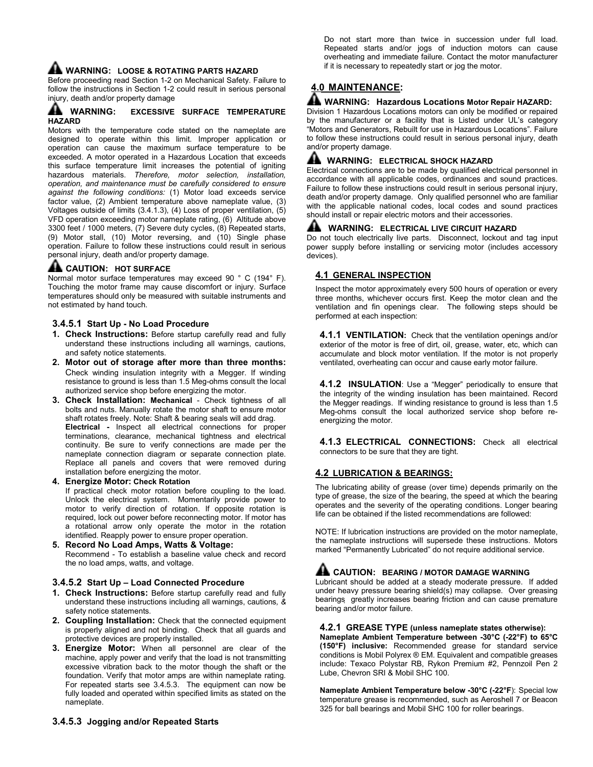# A WARNING: LOOSE & ROTATING PARTS HAZARD

Before proceeding read Section 1-2 on Mechanical Safety. Failure to follow the instructions in Section 1-2 could result in serious personal injury, death and/or property damage

#### A WARNING: EXCESSIVE SURFACE TEMPERATURE **HAZARD**

Motors with the temperature code stated on the nameplate are designed to operate within this limit. Improper application or operation can cause the maximum surface temperature to be exceeded. A motor operated in a Hazardous Location that exceeds this surface temperature limit increases the potential of igniting hazardous materials. Therefore, motor selection, installation, operation, and maintenance must be carefully considered to ensure against the following conditions: (1) Motor load exceeds service factor value, (2) Ambient temperature above nameplate value, (3) Voltages outside of limits (3.4.1.3), (4) Loss of proper ventilation, (5) VFD operation exceeding motor nameplate rating, (6) Altitude above 3300 feet / 1000 meters, (7) Severe duty cycles, (8) Repeated starts, (9) Motor stall, (10) Motor reversing, and (10) Single phase operation. Failure to follow these instructions could result in serious personal injury, death and/or property damage.

# **AL CAUTION: HOT SURFACE**

Normal motor surface temperatures may exceed 90 ° C (194° F). Touching the motor frame may cause discomfort or injury. Surface temperatures should only be measured with suitable instruments and not estimated by hand touch.

#### 3.4.5.1 Start Up - No Load Procedure

- 1. Check Instructions: Before startup carefully read and fully understand these instructions including all warnings, cautions, and safety notice statements.
- 2. Motor out of storage after more than three months: Check winding insulation integrity with a Megger. If winding resistance to ground is less than 1.5 Meg-ohms consult the local authorized service shop before energizing the motor.
- 3. Check Installation: Mechanical Check tightness of all bolts and nuts. Manually rotate the motor shaft to ensure motor shaft rotates freely. Note: Shaft & bearing seals will add drag. Electrical - Inspect all electrical connections for proper terminations, clearance, mechanical tightness and electrical continuity. Be sure to verify connections are made per the nameplate connection diagram or separate connection plate. Replace all panels and covers that were removed during
- installation before energizing the motor. 4. Energize Motor: Check Rotation

If practical check motor rotation before coupling to the load. Unlock the electrical system. Momentarily provide power to motor to verify direction of rotation. If opposite rotation is required, lock out power before reconnecting motor. If motor has a rotational arrow only operate the motor in the rotation identified. Reapply power to ensure proper operation.

5. Record No Load Amps, Watts & Voltage: Recommend - To establish a baseline value check and record the no load amps, watts, and voltage.

#### 3.4.5.2 Start Up – Load Connected Procedure

- 1. Check Instructions: Before startup carefully read and fully understand these instructions including all warnings, cautions, & safety notice statements.
- 2. Coupling Installation: Check that the connected equipment is properly aligned and not binding. Check that all guards and protective devices are properly installed.
- 3. Energize Motor: When all personnel are clear of the machine, apply power and verify that the load is not transmitting excessive vibration back to the motor though the shaft or the foundation. Verify that motor amps are within nameplate rating. For repeated starts see 3.4.5.3. The equipment can now be fully loaded and operated within specified limits as stated on the nameplate.

Do not start more than twice in succession under full load. Repeated starts and/or jogs of induction motors can cause overheating and immediate failure. Contact the motor manufacturer if it is necessary to repeatedly start or jog the motor.

# 4.0 MAINTENANCE:

#### **AL WARNING: Hazardous Locations Motor Repair HAZARD:**

Division 1 Hazardous Locations motors can only be modified or repaired by the manufacturer or a facility that is Listed under UL's category "Motors and Generators, Rebuilt for use in Hazardous Locations". Failure to follow these instructions could result in serious personal injury, death and/or property damage.

#### **AL WARNING: ELECTRICAL SHOCK HAZARD**

Electrical connections are to be made by qualified electrical personnel in accordance with all applicable codes, ordinances and sound practices. Failure to follow these instructions could result in serious personal injury, death and/or property damage. Only qualified personnel who are familiar with the applicable national codes, local codes and sound practices should install or repair electric motors and their accessories.

#### **AL WARNING: ELECTRICAL LIVE CIRCUIT HAZARD**

Do not touch electrically live parts. Disconnect, lockout and tag input power supply before installing or servicing motor (includes accessory devices).

#### 4.1 GENERAL INSPECTION

Inspect the motor approximately every 500 hours of operation or every three months, whichever occurs first. Keep the motor clean and the ventilation and fin openings clear. The following steps should be performed at each inspection:

4.1.1 VENTILATION: Check that the ventilation openings and/or exterior of the motor is free of dirt, oil, grease, water, etc, which can accumulate and block motor ventilation. If the motor is not properly ventilated, overheating can occur and cause early motor failure.

4.1.2 INSULATION: Use a "Megger" periodically to ensure that the integrity of the winding insulation has been maintained. Record the Megger readings. If winding resistance to ground is less than 1.5 Meg-ohms consult the local authorized service shop before reenergizing the motor.

4.1.3 ELECTRICAL CONNECTIONS: Check all electrical connectors to be sure that they are tight.

#### 4.2 LUBRICATION & BEARINGS:

The lubricating ability of grease (over time) depends primarily on the type of grease, the size of the bearing, the speed at which the bearing operates and the severity of the operating conditions. Longer bearing life can be obtained if the listed recommendations are followed:

NOTE: If lubrication instructions are provided on the motor nameplate, the nameplate instructions will supersede these instructions. Motors marked "Permanently Lubricated" do not require additional service.

# A CAUTION: BEARING / MOTOR DAMAGE WARNING

Lubricant should be added at a steady moderate pressure. If added under heavy pressure bearing shield(s) may collapse. Over greasing bearings greatly increases bearing friction and can cause premature bearing and/or motor failure.

#### 4.2.1 GREASE TYPE (unless nameplate states otherwise):

Nameplate Ambient Temperature between -30°C (-22°F) to 65°C (150°F) inclusive: Recommended grease for standard service conditions is Mobil Polyrex ® EM. Equivalent and compatible greases include: Texaco Polystar RB, Rykon Premium #2, Pennzoil Pen 2 Lube, Chevron SRI & Mobil SHC 100.

Nameplate Ambient Temperature below -30°C (-22°F): Special low temperature grease is recommended, such as Aeroshell 7 or Beacon 325 for ball bearings and Mobil SHC 100 for roller bearings.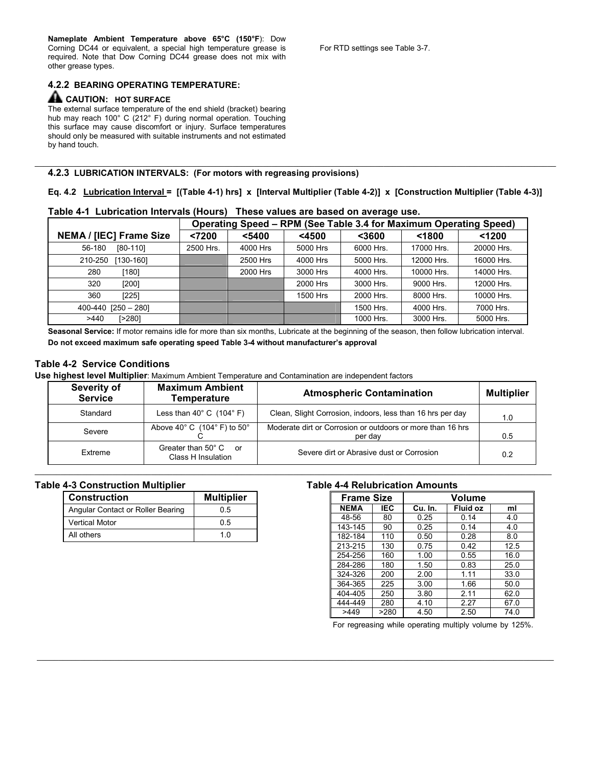Nameplate Ambient Temperature above 65°C (150°F): Dow Corning DC44 or equivalent, a special high temperature grease is required. Note that Dow Corning DC44 grease does not mix with other grease types.

## 4.2.2 BEARING OPERATING TEMPERATURE:

#### A CAUTION: HOT SURFACE

The external surface temperature of the end shield (bracket) bearing hub may reach 100° C (212° F) during normal operation. Touching this surface may cause discomfort or injury. Surface temperatures should only be measured with suitable instruments and not estimated by hand touch.

### 4.2.3 LUBRICATION INTERVALS: (For motors with regreasing provisions)

Eq. 4.2 Lubrication Interval = [(Table 4-1) hrs] x [Interval Multiplier (Table 4-2)] x [Construction Multiplier (Table 4-3)]

\_\_\_\_\_\_\_\_\_\_\_\_\_\_\_\_\_\_\_\_\_\_\_\_\_\_\_\_\_\_\_\_\_\_\_\_\_\_\_\_\_\_\_\_\_\_\_\_\_\_\_\_\_\_\_\_\_\_\_\_\_\_\_\_\_\_\_\_\_\_\_\_\_\_\_\_\_\_\_\_\_\_\_\_\_\_\_\_\_\_\_\_\_\_\_\_\_\_\_\_\_\_\_\_\_\_\_\_\_\_\_\_\_\_\_\_\_\_\_\_\_

|  |  | Table 4-1 Lubrication Intervals (Hours) These values are based on average use. |
|--|--|--------------------------------------------------------------------------------|
|  |  |                                                                                |

|                                |           |          |          |           | Operating Speed – RPM (See Table 3.4 for Maximum Operating Speed) |            |  |
|--------------------------------|-----------|----------|----------|-----------|-------------------------------------------------------------------|------------|--|
| <b>NEMA / [IEC] Frame Size</b> | < 7200    | $5400$   | $4500$   | $3600$    | < 1800                                                            | < 1200     |  |
| 56-180<br>$[80-110]$           | 2500 Hrs. | 4000 Hrs | 5000 Hrs | 6000 Hrs. | 17000 Hrs.                                                        | 20000 Hrs. |  |
| 210-250<br>[130-160]           |           | 2500 Hrs | 4000 Hrs | 5000 Hrs. | 12000 Hrs.                                                        | 16000 Hrs. |  |
| 280<br>[180]                   |           | 2000 Hrs | 3000 Hrs | 4000 Hrs. | 10000 Hrs.                                                        | 14000 Hrs. |  |
| 320<br>[200]                   |           |          | 2000 Hrs | 3000 Hrs. | 9000 Hrs.                                                         | 12000 Hrs. |  |
| 360<br>[225]                   |           |          | 1500 Hrs | 2000 Hrs. | 8000 Hrs.                                                         | 10000 Hrs. |  |
| $400-440$ [250 - 280]          |           |          |          | 1500 Hrs. | 4000 Hrs.                                                         | 7000 Hrs.  |  |
| [>280]<br>>440                 |           |          |          | 1000 Hrs. | 3000 Hrs.                                                         | 5000 Hrs.  |  |

Seasonal Service: If motor remains idle for more than six months, Lubricate at the beginning of the season, then follow lubrication interval. Do not exceed maximum safe operating speed Table 3-4 without manufacturer's approval

# Table 4-2 Service Conditions

Use highest level Multiplier: Maximum Ambient Temperature and Contamination are independent factors

| <b>Severity of</b><br><b>Service</b> | <b>Maximum Ambient</b><br>Temperature       | <b>Atmospheric Contamination</b>                                      | <b>Multiplier</b> |
|--------------------------------------|---------------------------------------------|-----------------------------------------------------------------------|-------------------|
| Standard                             | Less than $40^{\circ}$ C $(104^{\circ}$ F)  | Clean, Slight Corrosion, indoors, less than 16 hrs per day            | 1.0               |
| Severe                               | Above 40° C $(104° \text{ F})$ to 50°       | Moderate dirt or Corrosion or outdoors or more than 16 hrs<br>per day | 0.5               |
| Extreme                              | Greater than 50° C or<br>Class H Insulation | Severe dirt or Abrasive dust or Corrosion                             | 0.2               |

\_\_\_\_\_\_\_\_\_\_\_\_\_\_\_\_\_\_\_\_\_\_\_\_\_\_\_\_\_\_\_\_\_\_\_\_\_\_\_\_\_\_\_\_\_\_\_\_\_\_\_\_\_\_\_\_\_\_\_\_\_\_\_\_\_\_\_\_\_\_\_\_\_\_\_\_\_\_\_\_\_\_\_\_\_\_\_\_\_\_\_\_\_\_\_\_\_\_\_\_\_\_\_\_\_\_\_\_\_\_\_\_\_\_\_\_\_\_\_\_

\_\_\_\_\_\_\_\_\_\_\_\_\_\_\_\_\_\_\_\_\_\_\_\_\_\_\_\_\_\_\_\_\_\_\_\_\_\_\_\_\_\_\_\_\_\_\_\_\_\_\_\_\_\_\_\_\_\_\_\_\_\_\_\_\_\_\_\_\_\_\_\_\_\_\_\_\_\_\_\_\_\_\_\_\_\_\_\_\_\_\_\_\_\_\_\_\_\_\_\_\_\_\_\_\_\_\_\_\_\_\_\_\_\_\_\_\_\_\_\_

#### Table 4-3 Construction Multiplier

| <b>Construction</b>               | <b>Multiplier</b> |
|-----------------------------------|-------------------|
| Angular Contact or Roller Bearing | 05                |
| <b>Vertical Motor</b>             | 05                |
| All others                        | 1 <sub>0</sub>    |

#### Table 4-4 Relubrication Amounts

| <b>Frame Size</b> |      |         | Volume   |      |  |
|-------------------|------|---------|----------|------|--|
| <b>NEMA</b>       | IEC  | Cu. In. | Fluid oz | ml   |  |
| 48-56             | 80   | 0.25    | 0.14     | 4.0  |  |
| 143-145           | 90   | 0.25    | 0.14     | 4.0  |  |
| 182-184           | 110  | 0.50    | 0.28     | 8.0  |  |
| 213-215           | 130  | 0.75    | 0.42     | 12.5 |  |
| 254-256           | 160  | 1.00    | 0.55     | 16.0 |  |
| 284-286           | 180  | 1.50    | 0.83     | 25.0 |  |
| 324-326           | 200  | 2.00    | 1.11     | 33.0 |  |
| 364-365           | 225  | 3.00    | 1.66     | 50.0 |  |
| 404-405           | 250  | 3.80    | 2.11     | 62.0 |  |
| 444-449           | 280  | 4.10    | 2.27     | 67.0 |  |
| >449              | >280 | 4.50    | 2.50     | 74.0 |  |

For regreasing while operating multiply volume by 125%.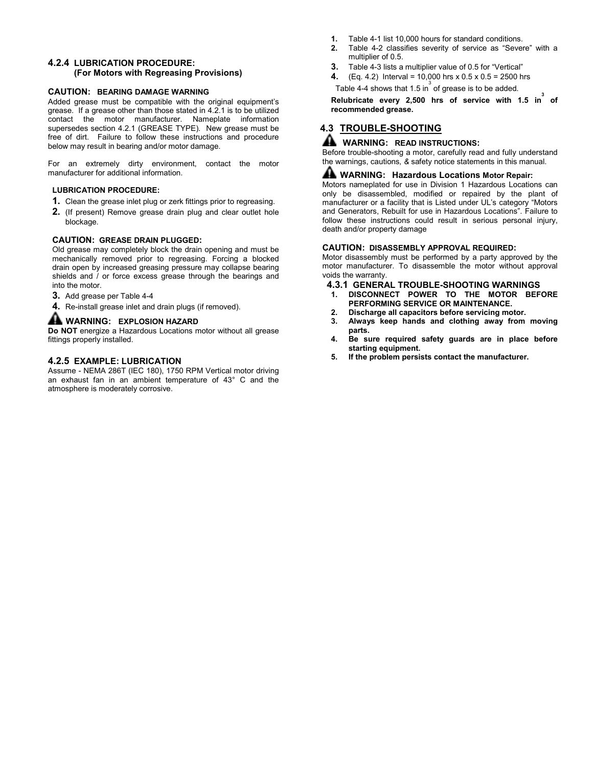#### 4.2.4 LUBRICATION PROCEDURE: (For Motors with Regreasing Provisions)

#### CAUTION: BEARING DAMAGE WARNING

Added grease must be compatible with the original equipment's grease. If a grease other than those stated in 4.2.1 is to be utilized contact the motor manufacturer. Nameplate information supersedes section 4.2.1 (GREASE TYPE). New grease must be free of dirt. Failure to follow these instructions and procedure below may result in bearing and/or motor damage.

For an extremely dirty environment, contact the motor manufacturer for additional information.

#### LUBRICATION PROCEDURE:

- 1. Clean the grease inlet plug or zerk fittings prior to regreasing.
- 2. (If present) Remove grease drain plug and clear outlet hole blockage.

#### CAUTION: GREASE DRAIN PLUGGED:

Old grease may completely block the drain opening and must be mechanically removed prior to regreasing. Forcing a blocked drain open by increased greasing pressure may collapse bearing shields and / or force excess grease through the bearings and into the motor.

- 3. Add grease per Table 4-4
- 4. Re-install grease inlet and drain plugs (if removed).

#### **AL WARNING: EXPLOSION HAZARD**

Do NOT energize a Hazardous Locations motor without all grease fittings properly installed.

#### 4.2.5 EXAMPLE: LUBRICATION

Assume - NEMA 286T (IEC 180), 1750 RPM Vertical motor driving an exhaust fan in an ambient temperature of 43° C and the atmosphere is moderately corrosive.

- 1. Table 4-1 list 10,000 hours for standard conditions.
- 2. Table 4-2 classifies severity of service as "Severe" with a multiplier of 0.5.
- 3. Table 4-3 lists a multiplier value of 0.5 for "Vertical"
- 4.  $(Eq. 4.2)$  Interval = 10,000 hrs x 0.5 x 0.5 = 2500 hrs

Table 4-4 shows that 1.5 in  $\stackrel{3}{\text{o}}$  of grease is to be added.

Relubricate every 2,500 hrs of service with 1.5 in of recommended grease.

# 4.3 TROUBLE-SHOOTING

## **A** WARNING: READ INSTRUCTIONS:

Before trouble-shooting a motor, carefully read and fully understand the warnings, cautions, & safety notice statements in this manual.

## A WARNING: Hazardous Locations Motor Repair:

Motors nameplated for use in Division 1 Hazardous Locations can only be disassembled, modified or repaired by the plant of manufacturer or a facility that is Listed under UL's category "Motors and Generators, Rebuilt for use in Hazardous Locations". Failure to follow these instructions could result in serious personal injury, death and/or property damage

#### CAUTION: DISASSEMBLY APPROVAL REQUIRED:

Motor disassembly must be performed by a party approved by the motor manufacturer. To disassemble the motor without approval voids the warranty.

- 4.3.1 GENERAL TROUBLE-SHOOTING WARNINGS
- 1. DISCONNECT POWER TO THE MOTOR BEFORE PERFORMING SERVICE OR MAINTENANCE.
- 2. Discharge all capacitors before servicing motor.
- 3. Always keep hands and clothing away from moving parts.
- 4. Be sure required safety guards are in place before starting equipment.
- 5. If the problem persists contact the manufacturer.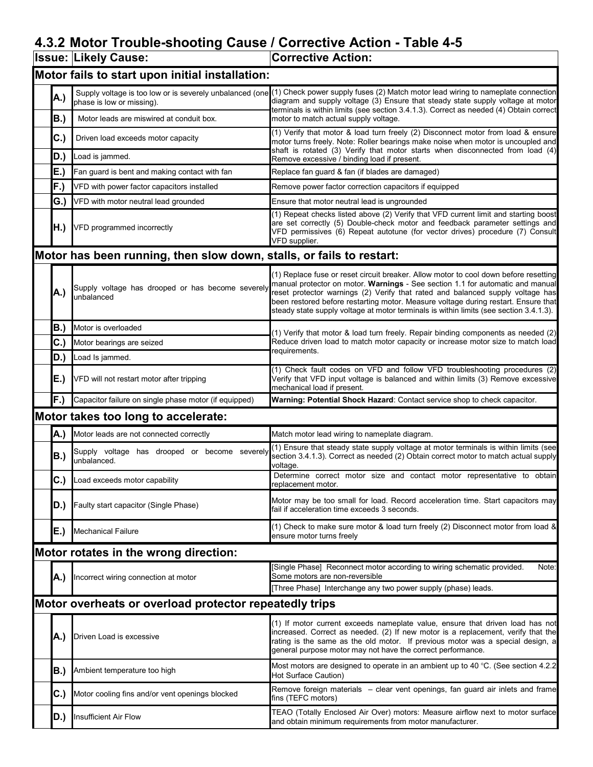# 4.3.2 Motor Trouble-shooting Cause / Corrective Action - Table 4-5

|                                                                      | <b>Issue: Likely Cause:</b>                                     | <b>Corrective Action:</b>                                                                                                                                                                                                                                                                                                                                                                                                                |  |  |  |
|----------------------------------------------------------------------|-----------------------------------------------------------------|------------------------------------------------------------------------------------------------------------------------------------------------------------------------------------------------------------------------------------------------------------------------------------------------------------------------------------------------------------------------------------------------------------------------------------------|--|--|--|
|                                                                      | Motor fails to start upon initial installation:                 |                                                                                                                                                                                                                                                                                                                                                                                                                                          |  |  |  |
| A.)                                                                  | phase is low or missing).                                       | Supply voltage is too low or is severely unbalanced (one (1) Check power supply fuses (2) Match motor lead wiring to nameplate connection<br>diagram and supply voltage (3) Ensure that steady state supply voltage at motor<br>terminals is within limits (see section 3.4.1.3). Correct as needed (4) Obtain correct                                                                                                                   |  |  |  |
| B.)                                                                  | Motor leads are miswired at conduit box.                        | motor to match actual supply voltage.                                                                                                                                                                                                                                                                                                                                                                                                    |  |  |  |
| $ C_{\cdot}\rangle$                                                  | Driven load exceeds motor capacity                              | (1) Verify that motor & load turn freely (2) Disconnect motor from load & ensure<br>motor turns freely. Note: Roller bearings make noise when motor is uncoupled and                                                                                                                                                                                                                                                                     |  |  |  |
| D.)                                                                  | Load is jammed.                                                 | shaft is rotated (3) Verify that motor starts when disconnected from load (4)<br>Remove excessive / binding load if present.                                                                                                                                                                                                                                                                                                             |  |  |  |
| E.)                                                                  | Fan guard is bent and making contact with fan                   | Replace fan guard & fan (if blades are damaged)                                                                                                                                                                                                                                                                                                                                                                                          |  |  |  |
| F.)                                                                  | VFD with power factor capacitors installed                      | Remove power factor correction capacitors if equipped                                                                                                                                                                                                                                                                                                                                                                                    |  |  |  |
| G.)                                                                  | VFD with motor neutral lead grounded                            | Ensure that motor neutral lead is ungrounded                                                                                                                                                                                                                                                                                                                                                                                             |  |  |  |
| H.)                                                                  | VFD programmed incorrectly                                      | (1) Repeat checks listed above (2) Verify that VFD current limit and starting boost<br>are set correctly (5) Double-check motor and feedback parameter settings and<br>VFD permissives (6) Repeat autotune (for vector drives) procedure (7) Consult<br>VFD supplier.                                                                                                                                                                    |  |  |  |
| Motor has been running, then slow down, stalls, or fails to restart: |                                                                 |                                                                                                                                                                                                                                                                                                                                                                                                                                          |  |  |  |
| A.)                                                                  | Supply voltage has drooped or has become severely<br>unbalanced | (1) Replace fuse or reset circuit breaker. Allow motor to cool down before resetting<br>manual protector on motor. Warnings - See section 1.1 for automatic and manual<br>reset protector warnings (2) Verify that rated and balanced supply voltage has<br>been restored before restarting motor. Measure voltage during restart. Ensure that<br>steady state supply voltage at motor terminals is within limits (see section 3.4.1.3). |  |  |  |
| B.)                                                                  | Motor is overloaded                                             | (1) Verify that motor & load turn freely. Repair binding components as needed (2)                                                                                                                                                                                                                                                                                                                                                        |  |  |  |
| C.)                                                                  | Motor bearings are seized                                       | Reduce driven load to match motor capacity or increase motor size to match load                                                                                                                                                                                                                                                                                                                                                          |  |  |  |
| D.)                                                                  | Load Is jammed.                                                 | requirements.                                                                                                                                                                                                                                                                                                                                                                                                                            |  |  |  |
| E.)                                                                  | VFD will not restart motor after tripping                       | (1) Check fault codes on VFD and follow VFD troubleshooting procedures (2)<br>Verify that VFD input voltage is balanced and within limits (3) Remove excessive<br>mechanical load if present.                                                                                                                                                                                                                                            |  |  |  |
| F.)                                                                  | Capacitor failure on single phase motor (if equipped)           | Warning: Potential Shock Hazard: Contact service shop to check capacitor.                                                                                                                                                                                                                                                                                                                                                                |  |  |  |
|                                                                      | Motor takes too long to accelerate:                             |                                                                                                                                                                                                                                                                                                                                                                                                                                          |  |  |  |
| A.)                                                                  | Motor leads are not connected correctly                         | Match motor lead wiring to nameplate diagram.                                                                                                                                                                                                                                                                                                                                                                                            |  |  |  |
| B.)                                                                  | Supply voltage has drooped or become severely<br>unbalanced.    | (1) Ensure that steady state supply voltage at motor terminals is within limits (see<br>section 3.4.1.3). Correct as needed (2) Obtain correct motor to match actual supply<br>voltage.                                                                                                                                                                                                                                                  |  |  |  |
|                                                                      | C.) Load exceeds motor capability                               | Determine correct motor size and contact motor representative to obtain<br>replacement motor.                                                                                                                                                                                                                                                                                                                                            |  |  |  |
| ID.)                                                                 | Faulty start capacitor (Single Phase)                           | Motor may be too small for load. Record acceleration time. Start capacitors may<br>fail if acceleration time exceeds 3 seconds.                                                                                                                                                                                                                                                                                                          |  |  |  |
| E.)                                                                  | <b>Mechanical Failure</b>                                       | (1) Check to make sure motor & load turn freely (2) Disconnect motor from load &<br>ensure motor turns freely                                                                                                                                                                                                                                                                                                                            |  |  |  |
|                                                                      | Motor rotates in the wrong direction:                           |                                                                                                                                                                                                                                                                                                                                                                                                                                          |  |  |  |
| [A.)                                                                 | Incorrect wiring connection at motor                            | [Single Phase] Reconnect motor according to wiring schematic provided.<br>Note:<br>Some motors are non-reversible                                                                                                                                                                                                                                                                                                                        |  |  |  |
|                                                                      |                                                                 | [Three Phase] Interchange any two power supply (phase) leads.                                                                                                                                                                                                                                                                                                                                                                            |  |  |  |
| Motor overheats or overload protector repeatedly trips               |                                                                 |                                                                                                                                                                                                                                                                                                                                                                                                                                          |  |  |  |
| IA.)                                                                 | Driven Load is excessive                                        | (1) If motor current exceeds nameplate value, ensure that driven load has not<br>increased. Correct as needed. (2) If new motor is a replacement, verify that the<br>rating is the same as the old motor. If previous motor was a special design, a<br>general purpose motor may not have the correct performance.                                                                                                                       |  |  |  |
| IB.)                                                                 | Ambient temperature too high                                    | Most motors are designed to operate in an ambient up to 40 °C. (See section 4.2.2)<br>Hot Surface Caution)                                                                                                                                                                                                                                                                                                                               |  |  |  |
| C.)                                                                  | Motor cooling fins and/or vent openings blocked                 | Remove foreign materials – clear vent openings, fan guard air inlets and frame<br>fins (TEFC motors)                                                                                                                                                                                                                                                                                                                                     |  |  |  |
| ID.)                                                                 | Insufficient Air Flow                                           | TEAO (Totally Enclosed Air Over) motors: Measure airflow next to motor surface<br>and obtain minimum requirements from motor manufacturer.                                                                                                                                                                                                                                                                                               |  |  |  |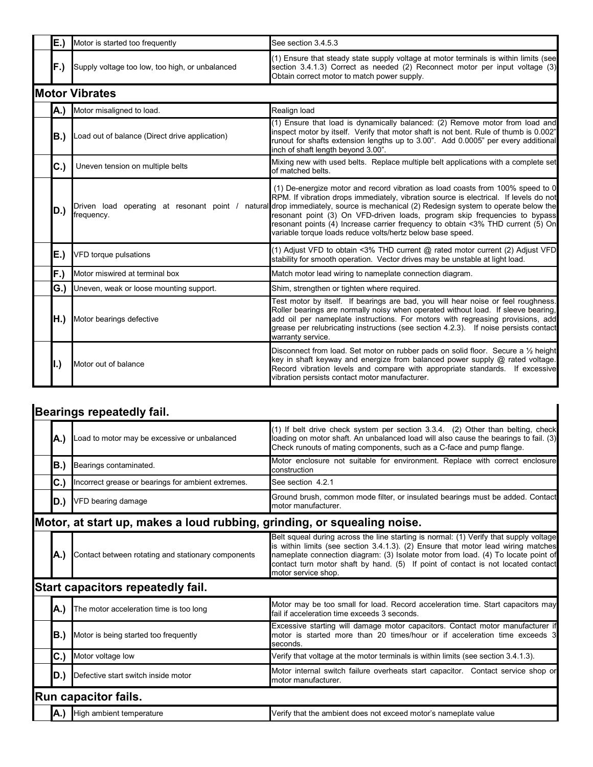| <b>IE.)</b>           | Motor is started too frequently                 | See section 3.4.5.3                                                                                                                                                                                                                                                                                                                                                                                                                                                                                                                         |  |  |  |  |  |
|-----------------------|-------------------------------------------------|---------------------------------------------------------------------------------------------------------------------------------------------------------------------------------------------------------------------------------------------------------------------------------------------------------------------------------------------------------------------------------------------------------------------------------------------------------------------------------------------------------------------------------------------|--|--|--|--|--|
| IF.)                  | Supply voltage too low, too high, or unbalanced | (1) Ensure that steady state supply voltage at motor terminals is within limits (see<br>section 3.4.1.3) Correct as needed (2) Reconnect motor per input voltage (3)<br>Obtain correct motor to match power supply.                                                                                                                                                                                                                                                                                                                         |  |  |  |  |  |
| <b>Motor Vibrates</b> |                                                 |                                                                                                                                                                                                                                                                                                                                                                                                                                                                                                                                             |  |  |  |  |  |
|                       | A.) Motor misaligned to load.                   | Realign load                                                                                                                                                                                                                                                                                                                                                                                                                                                                                                                                |  |  |  |  |  |
| IB.)                  | Load out of balance (Direct drive application)  | (1) Ensure that load is dynamically balanced: (2) Remove motor from load and<br>inspect motor by itself. Verify that motor shaft is not bent. Rule of thumb is 0.002"<br>runout for shafts extension lengths up to 3.00". Add 0.0005" per every additional<br>inch of shaft length beyond 3.00".                                                                                                                                                                                                                                            |  |  |  |  |  |
| C.                    | Uneven tension on multiple belts                | Mixing new with used belts. Replace multiple belt applications with a complete set<br>of matched belts.                                                                                                                                                                                                                                                                                                                                                                                                                                     |  |  |  |  |  |
| D.)                   | frequency.                                      | (1) De-energize motor and record vibration as load coasts from 100% speed to 0<br>RPM. If vibration drops immediately, vibration source is electrical. If levels do not<br>Driven load operating at resonant point / natural drop immediately, source is mechanical (2) Redesign system to operate below the<br>resonant point (3) On VFD-driven loads, program skip frequencies to bypass<br>resonant points (4) Increase carrier frequency to obtain <3% THD current (5) On<br>variable torque loads reduce volts/hertz below base speed. |  |  |  |  |  |
| E.)                   | VFD torque pulsations                           | (1) Adjust VFD to obtain <3% THD current @ rated motor current (2) Adjust VFD<br>stability for smooth operation. Vector drives may be unstable at light load.                                                                                                                                                                                                                                                                                                                                                                               |  |  |  |  |  |
| F.)                   | Motor miswired at terminal box                  | Match motor lead wiring to nameplate connection diagram.                                                                                                                                                                                                                                                                                                                                                                                                                                                                                    |  |  |  |  |  |
| G.)                   | Uneven, weak or loose mounting support.         | Shim, strengthen or tighten where required.                                                                                                                                                                                                                                                                                                                                                                                                                                                                                                 |  |  |  |  |  |
|                       | H.) Motor bearings defective                    | Test motor by itself. If bearings are bad, you will hear noise or feel roughness.<br>Roller bearings are normally noisy when operated without load. If sleeve bearing,<br>add oil per nameplate instructions. For motors with regreasing provisions, add<br>grease per relubricating instructions (see section 4.2.3). If noise persists contact<br>warranty service.                                                                                                                                                                       |  |  |  |  |  |
| l.)                   | Motor out of balance                            | Disconnect from load. Set motor on rubber pads on solid floor. Secure a 1/2 height<br>key in shaft keyway and energize from balanced power supply @ rated voltage.<br>Record vibration levels and compare with appropriate standards. If excessive<br>vibration persists contact motor manufacturer.                                                                                                                                                                                                                                        |  |  |  |  |  |

# Bearings repeatedly fail.

| A.) | Load to motor may be excessive or unbalanced                            | (1) If belt drive check system per section 3.3.4. (2) Other than belting, check<br>loading on motor shaft. An unbalanced load will also cause the bearings to fail. (3)<br>Check runouts of mating components, such as a C-face and pump flange.                                                                                                                           |
|-----|-------------------------------------------------------------------------|----------------------------------------------------------------------------------------------------------------------------------------------------------------------------------------------------------------------------------------------------------------------------------------------------------------------------------------------------------------------------|
| B.) | Bearings contaminated.                                                  | Motor enclosure not suitable for environment. Replace with correct enclosure<br>construction                                                                                                                                                                                                                                                                               |
| C.) | Incorrect grease or bearings for ambient extremes.                      | See section 4.2.1                                                                                                                                                                                                                                                                                                                                                          |
| D.) | VFD bearing damage                                                      | Ground brush, common mode filter, or insulated bearings must be added. Contact<br>motor manufacturer.                                                                                                                                                                                                                                                                      |
|     | Motor, at start up, makes a loud rubbing, grinding, or squealing noise. |                                                                                                                                                                                                                                                                                                                                                                            |
| A.) | Contact between rotating and stationary components                      | Belt squeal during across the line starting is normal: (1) Verify that supply voltage<br>is within limits (see section 3.4.1.3). (2) Ensure that motor lead wiring matches<br>nameplate connection diagram: (3) Isolate motor from load. (4) To locate point of<br>contact turn motor shaft by hand. (5) If point of contact is not located contact<br>motor service shop. |
|     | Start capacitors repeatedly fail.                                       |                                                                                                                                                                                                                                                                                                                                                                            |
| A.) | The motor acceleration time is too long                                 | Motor may be too small for load. Record acceleration time. Start capacitors may<br>fail if acceleration time exceeds 3 seconds.                                                                                                                                                                                                                                            |
|     | <b>B.)</b> Motor is being started too frequently                        | Excessive starting will damage motor capacitors. Contact motor manufacturer if<br>motor is started more than 20 times/hour or if acceleration time exceeds 3<br>seconds.                                                                                                                                                                                                   |
| C.) | Motor voltage low                                                       | Verify that voltage at the motor terminals is within limits (see section 3.4.1.3).                                                                                                                                                                                                                                                                                         |
| D.) | Defective start switch inside motor                                     | Motor internal switch failure overheats start capacitor. Contact service shop or<br>motor manufacturer.                                                                                                                                                                                                                                                                    |
|     | <b>Run capacitor fails.</b>                                             |                                                                                                                                                                                                                                                                                                                                                                            |
| A.) | High ambient temperature                                                | Verify that the ambient does not exceed motor's nameplate value                                                                                                                                                                                                                                                                                                            |

 $\overline{\mathbf{I}}$